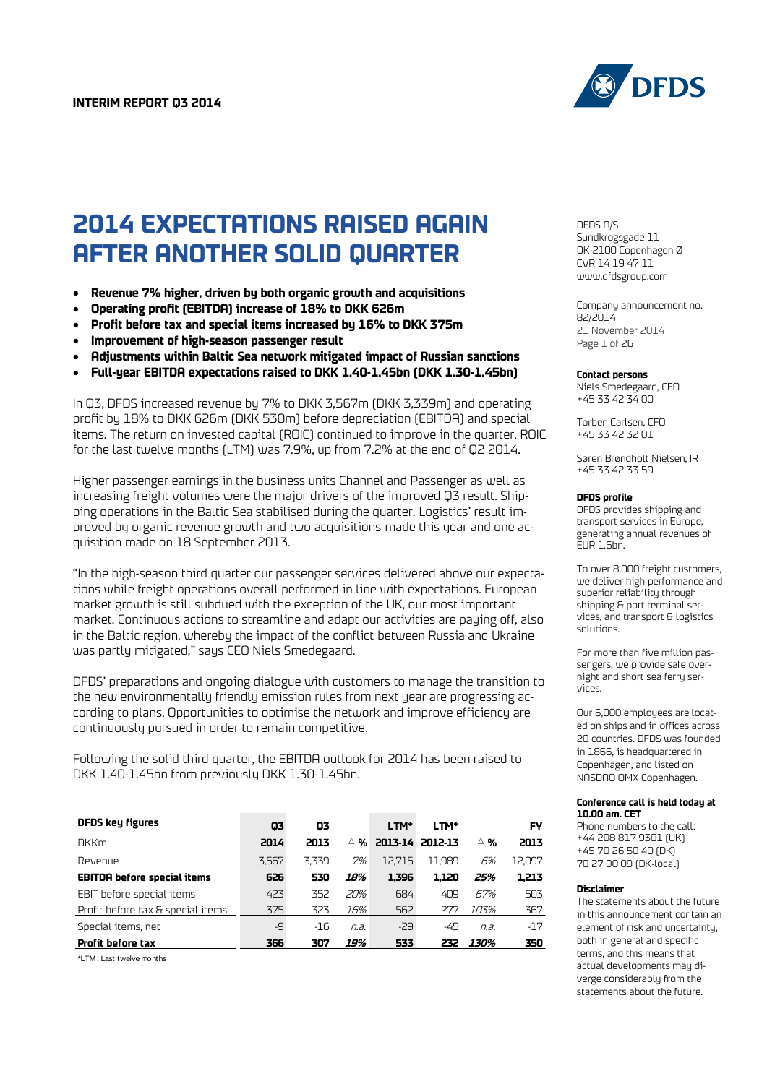

# **2014 EXPECTATIONS RAISED AGAIN AFTER ANOTHER SOLID QUARTER**

- **Revenue 7% higher, driven by both organic growth and acquisitions**
- **Operating profit (EBITDA) increase of 18% to DKK 626m**
- **Profit before tax and special items increased by 16% to DKK 375m**
- **Improvement of high-season passenger result**
- **Adjustments within Baltic Sea network mitigated impact of Russian sanctions**
- **Full-year EBITDA expectations raised to DKK 1.40-1.45bn (DKK 1.30-1.45bn)**

In Q3, DFDS increased revenue by 7% to DKK 3,567m (DKK 3,339m) and operating profit by 18% to DKK 626m (DKK 530m) before depreciation (EBITDA) and special items. The return on invested capital (ROIC) continued to improve in the quarter. ROIC for the last twelve months (LTM) was 7.9%, up from 7.2% at the end of Q2 2014.

Higher passenger earnings in the business units Channel and Passenger as well as increasing freight volumes were the major drivers of the improved Q3 result. Shipping operations in the Baltic Sea stabilised during the quarter. Logistics' result improved by organic revenue growth and two acquisitions made this year and one acquisition made on 18 September 2013.

"In the high-season third quarter our passenger services delivered above our expectations while freight operations overall performed in line with expectations. European market growth is still subdued with the exception of the UK, our most important market. Continuous actions to streamline and adapt our activities are paying off, also in the Baltic region, whereby the impact of the conflict between Russia and Ukraine was partly mitigated," says CEO Niels Smedegaard.

DFDS' preparations and ongoing dialogue with customers to manage the transition to the new environmentally friendly emission rules from next year are progressing according to plans. Opportunities to optimise the network and improve efficiency are continuously pursued in order to remain competitive.

Following the solid third quarter, the EBITDA outlook for 2014 has been raised to DKK 1.40-1.45bn from previously DKK 1.30-1.45bn.

| <b>DFDS key figures</b>            | 03    | 03    |        | LTM*            | LTM*   |             | FY     |
|------------------------------------|-------|-------|--------|-----------------|--------|-------------|--------|
| <b>DKKm</b>                        | 2014  | 2013  | %<br>Δ | 2013-14 2012-13 |        | ∆%∧         | 2013   |
| Revenue                            | 3.567 | 3.339 | 7%     | 12.715          | 11.989 | 6%          | 12.097 |
| <b>EBITDA before special items</b> | 626   | 530   | 18%    | 1.396           | 1.120  | 25%         | 1.213  |
| EBIT before special items          | 423   | 352   | 20%    | 684             | 409    | 67%         | 503    |
| Profit before tax & special items  | 375   | 323   | 16%    | 562             | 277    | 103%        | 367    |
| Special items, net                 | -9    | $-16$ | n.a.   | $-29$           | -45    | n.a.        | $-17$  |
| Profit before tax                  | 366   | 307   | 19%    | 533             | 232    | <i>130%</i> | 350    |

\*LTM : Last twelve months

DFDS A/S Sundkrogsgade 11 DK-2100 Copenhagen Ø CVR 14 19 47 11 [www.dfdsgroup.com](http://www.dfdsgroup.com/)

Company announcement no. 82/2014 21 November 2014 Page 1 of 26

#### **Contact persons**

Niels Smedegaard, CEO +45 33 42 34 00

Torben Carlsen, CFO +45 33 42 32 01

Søren Brøndholt Nielsen, IR +45 33 42 33 59

#### **DFDS profile**

DFDS provides shipping and transport services in Europe, generating annual revenues of  $E$ UR 1.6bn.

To over 8,000 freight customers, we deliver high performance and superior reliability through shipping & port terminal services, and transport & logistics solutions.

For more than five million passengers, we provide safe overnight and short sea ferry services.

Our 6,000 employees are located on ships and in offices across 20 countries. DFDS was founded in 1866, is headquartered in Copenhagen, and listed on NASDAQ OMX Copenhagen.

#### **Conference call is held today at 10.00 am. CET**

Phone numbers to the call: +44 208 817 9301 (UK) +45 70 26 50 40 (DK) 70 27 90 09 (DK-local)

#### **Disclaimer**

The statements about the future in this announcement contain an element of risk and uncertainty, both in general and specific terms, and this means that actual developments may diverge considerably from the statements about the future.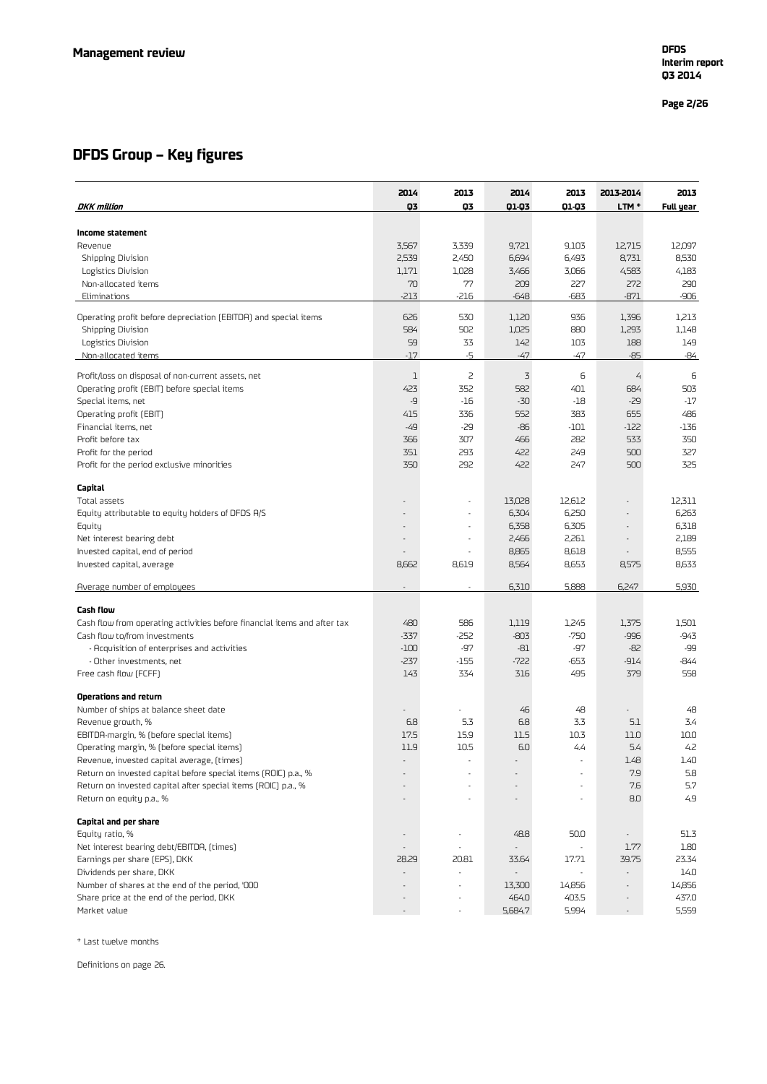**Page 2 /26**

### **DFDS Group – Key figures**

| <b>DKK</b> million                                                                        | 2014<br>Q3               | 2013<br>Q3               | 2014<br>Q1-Q3  | 2013<br>01-03                     | 2013-2014<br>LTM <sup>*</sup>     | 2013<br>Full year |
|-------------------------------------------------------------------------------------------|--------------------------|--------------------------|----------------|-----------------------------------|-----------------------------------|-------------------|
|                                                                                           |                          |                          |                |                                   |                                   |                   |
| Income statement                                                                          |                          |                          |                |                                   |                                   |                   |
| Revenue                                                                                   | 3,567                    | 3,339                    | 9,721          | 9,103                             | 12,715                            | 12,097            |
| Shipping Division                                                                         | 2,539<br>1,171           | 2,450<br>1,028           | 6,694<br>3,466 | 6,493<br>3,066                    | 8,731<br>4,583                    | 8,530<br>4,183    |
| Logistics Division<br>Non-allocated items                                                 | 70                       | 77                       | 209            | 227                               | 272                               | 290               |
| Eliminations                                                                              | $-213$                   | $-216$                   | $-648$         | $-683$                            | $-871$                            | $-906$            |
| Operating profit before depreciation (EBITDA) and special items                           | 626                      | 530                      | 1,120          | 936                               | 1,396                             | 1,213             |
| Shipping Division                                                                         | 584                      | 502                      | 1,025          | 880                               | 1,293                             | 1,148             |
| Logistics Division                                                                        | 59                       | 33                       | 142            | 103                               | 188                               | 149               |
| Non-allocated items                                                                       | $-17$                    | -5                       | $-47$          | -47                               | $-85$                             | -84               |
| Profit/loss on disposal of non-current assets, net                                        | 1                        | $\overline{c}$           | 3              | 6                                 | $\overline{4}$                    | 6                 |
| Operating profit (EBIT) before special items                                              | 423                      | 352                      | 582            | 401                               | 684                               | 503               |
| Special items, net                                                                        | -9                       | $-16$                    | $-30$          | $-18$                             | $-29$                             | $-17$             |
| Operating profit (EBIT)                                                                   | 415                      | 336                      | 552            | 383                               | 655                               | 486               |
| Financial items, net                                                                      | $-49$                    | $-29$                    | -86            | -101                              | $-122$                            | $-136$            |
| Profit before tax                                                                         | 366                      | 307                      | 466            | 282                               | 533                               | 350               |
| Profit for the period                                                                     | 351                      | 293                      | 422            | 249                               | 500                               | 327               |
| Profit for the period exclusive minorities                                                | 350                      | 292                      | 422            | 247                               | 500                               | 325               |
| Capital                                                                                   |                          |                          |                |                                   |                                   |                   |
| Total assets                                                                              | $\overline{\phantom{a}}$ |                          | 13,028         | 12,612                            | $\overline{\phantom{a}}$          | 12,311            |
| Equity attributable to equity holders of DFDS A/S                                         |                          |                          | 6,304          | 6,250                             | $\overline{\phantom{a}}$          | 6,263             |
| Equity                                                                                    |                          |                          | 6,358          | 6,305                             | $\overline{\phantom{a}}$          | 6,318             |
| Net interest bearing debt                                                                 |                          | $\overline{\phantom{a}}$ | 2,466          | 2,261                             | $\overline{\phantom{a}}$          | 2,189             |
| Invested capital, end of period                                                           |                          |                          | 8,865          | 8,618                             |                                   | 8,555             |
| Invested capital, average                                                                 | 8,662                    | 8,619                    | 8,564          | 8,653                             | 8,575                             | 8,633             |
| Average number of employees                                                               | $\overline{\phantom{a}}$ | $\overline{\phantom{a}}$ | 6,310          | 5,888                             | 6,247                             | 5,930             |
| <b>Cash flow</b>                                                                          |                          |                          |                |                                   |                                   |                   |
| Cash flow from operating activities before financial items and after tax                  | 480                      | 586                      | 1,119          | 1,245                             | 1,375                             | 1,501             |
| Cash flow to/from investments                                                             | $-337$                   | -252                     | $-803$         | $-750$                            | $-996$                            | $-943$            |
| - Acquisition of enterprises and activities                                               | $-100$                   | -97                      | $-81$          | -97                               | $-82$                             | -99               |
| - Other investments, net                                                                  | $-237$                   | -155                     | $-722$         | -653                              | $-914$                            | -844              |
| Free cash flow (FCFF)                                                                     | 143                      | 334                      | 316            | 495                               | 379                               | 558               |
| Operations and return                                                                     |                          |                          |                |                                   |                                   |                   |
| Number of ships at balance sheet date                                                     |                          |                          | 46             | 48                                |                                   | 48                |
| Revenue growth, %                                                                         | 6.8                      | 5.3                      | 6.8            | 3.3                               | 5.1                               | 3.4               |
| EBITDA-margin, % (before special items)                                                   | 17.5                     | 15.9                     | 11.5           | 10.3                              | 11.0                              | 10.0              |
| Operating margin, % (before special items)                                                | 11.9                     | 10.5                     | 6.0            | 4.4                               | 5.4                               | 4.2               |
| Revenue, invested capital average, (times)                                                |                          |                          |                |                                   | 1.48                              | 1.40              |
| Return on invested capital before special items (ROIC) p.a., %                            |                          |                          |                |                                   | 7.9                               | 5.8               |
| Return on invested capital after special items (ROIC) p.a., %<br>Return on equity p.a., % |                          |                          |                |                                   | 7.6<br>8.0                        | 5.7<br>4.9        |
|                                                                                           |                          |                          |                |                                   |                                   |                   |
| Capital and per share                                                                     |                          |                          |                |                                   |                                   |                   |
| Equity ratio, %                                                                           | $\overline{\phantom{a}}$ | ł,                       | 48.8           | 50.0                              | $\overline{\phantom{a}}$          | 51.3              |
| Net interest bearing debt/EBITDA, (times)                                                 |                          |                          |                |                                   | 1.77                              | 1.80              |
| Earnings per share (EPS), DKK<br>Dividends per share, DKK                                 | 28.29                    | 20.81<br>ä,              | 33.64          | 17.71<br>$\overline{\phantom{a}}$ | 39.75<br>$\overline{\phantom{a}}$ | 23.34<br>14.0     |
| Number of shares at the end of the period, '000                                           |                          |                          | 13,300         | 14,856                            |                                   | 14,856            |
| Share price at the end of the period, DKK                                                 |                          |                          | 464.0          | 403.5                             |                                   | 437.0             |
| Market value                                                                              |                          | $\overline{\phantom{a}}$ | 5,684.7        | 5,994                             | $\overline{\phantom{a}}$          | 5,559             |

\* Last twelve months

Definitions on page 26.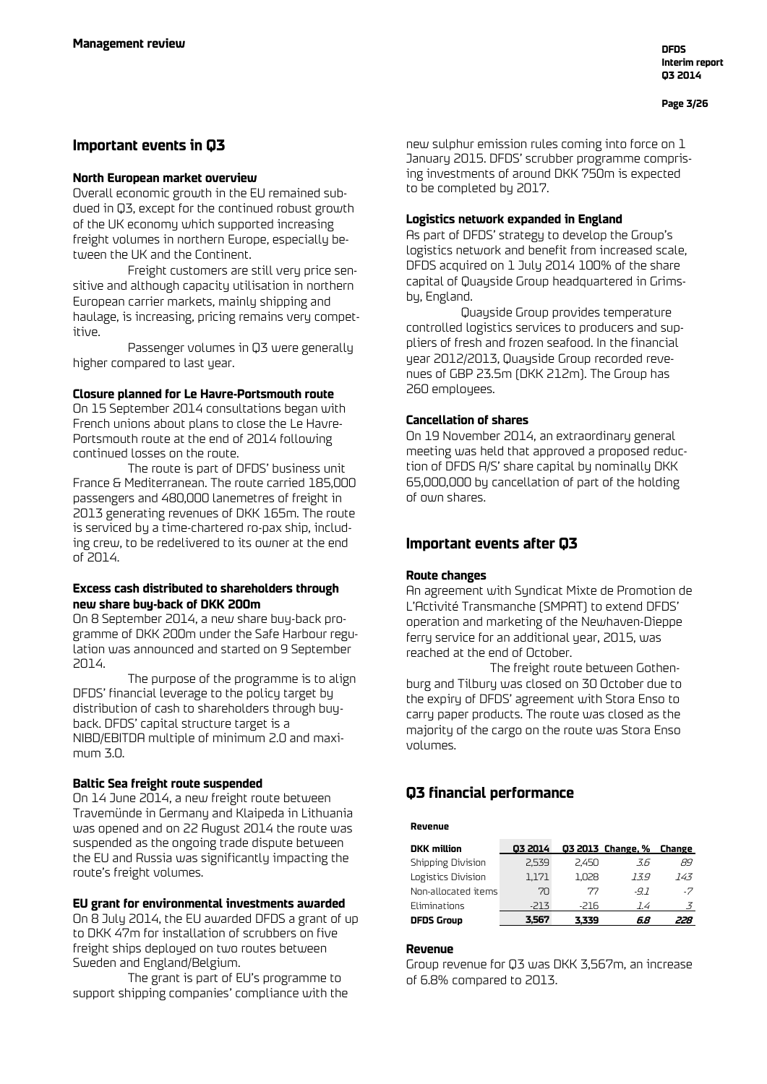### **Important events in Q3**

### **North European market overview**

Overall economic growth in the EU remained subdued in Q3, except for the continued robust growth of the UK economy which supported increasing freight volumes in northern Europe, especially between the UK and the Continent.

Freight customers are still very price sensitive and although capacity utilisation in northern European carrier markets, mainly shipping and haulage, is increasing, pricing remains very competitive.

Passenger volumes in Q3 were generally higher compared to last year.

### **Closure planned for Le Havre-Portsmouth route**

On 15 September 2014 consultations began with French unions about plans to close the Le Havre-Portsmouth route at the end of 2014 following continued losses on the route.

The route is part of DFDS' business unit France & Mediterranean. The route carried 185,000 passengers and 480,000 lanemetres of freight in 2013 generating revenues of DKK 165m. The route is serviced by a time-chartered ro-pax ship, including crew, to be redelivered to its owner at the end of 2014.

### **Excess cash distributed to shareholders through new share buy-back of DKK 200m**

On 8 September 2014, a new share buy-back programme of DKK 200m under the Safe Harbour regulation was announced and started on 9 September 2014.

The purpose of the programme is to align DFDS' financial leverage to the policy target by distribution of cash to shareholders through buyback. DFDS' capital structure target is a NIBD/EBITDA multiple of minimum 2.0 and maximum 3.0.

### **Baltic Sea freight route suspended**

On 14 June 2014, a new freight route between Travemünde in Germany and Klaipeda in Lithuania was opened and on 22 August 2014 the route was suspended as the ongoing trade dispute between the EU and Russia was significantly impacting the route's freight volumes.

### **EU grant for environmental investments awarded**

On 8 July 2014, the EU awarded DFDS a grant of up to DKK 47m for installation of scrubbers on five freight ships deployed on two routes between Sweden and England/Belgium.

The grant is part of EU's programme to support shipping companies' compliance with the new sulphur emission rules coming into force on 1 January 2015. DFDS' scrubber programme comprising investments of around DKK 750m is expected to be completed by 2017.

### **Logistics network expanded in England**

As part of DFDS' strategy to develop the Group's logistics network and benefit from increased scale, DFDS acquired on 1 July 2014 100% of the share capital of Quayside Group headquartered in Grimsby, England.

Quayside Group provides temperature controlled logistics services to producers and suppliers of fresh and frozen seafood. In the financial year 2012/2013, Quayside Group recorded revenues of GBP 23.5m (DKK 212m). The Group has 260 employees.

### **Cancellation of shares**

On 19 November 2014, an extraordinary general meeting was held that approved a proposed reduction of DFDS A/S' share capital by nominally DKK 65,000,000 by cancellation of part of the holding of own shares.

### **Important events after Q3**

### **Route changes**

An agreement with Syndicat Mixte de Promotion de L'Activité Transmanche (SMPAT) to extend DFDS' operation and marketing of the Newhaven-Dieppe ferry service for an additional year, 2015, was reached at the end of October.

The freight route between Gothenburg and Tilbury was closed on 30 October due to the expiry of DFDS' agreement with Stora Enso to carry paper products. The route was closed as the majority of the cargo on the route was Stora Enso volumes.

### **Q3 financial performance**

#### **Revenue**

| <b>DKK</b> million  | 03 2014 |       | Q3 2013 Change, % Change |     |
|---------------------|---------|-------|--------------------------|-----|
| Shipping Division   | 2.539   | 2.450 | 3.6                      | 89  |
| Logistics Division  | 1.171   | 1.028 | 13.9                     | 143 |
| Non-allocated items | 70      | 77    | $-91$                    | -7  |
| Eliminations        | -213    | -216  | 14                       | 3   |
| <b>DFDS Group</b>   | 3,567   | 3.339 | 6.8                      | 228 |

### **Revenue**

Group revenue for Q3 was DKK 3,567m, an increase of 6.8% compared to 2013.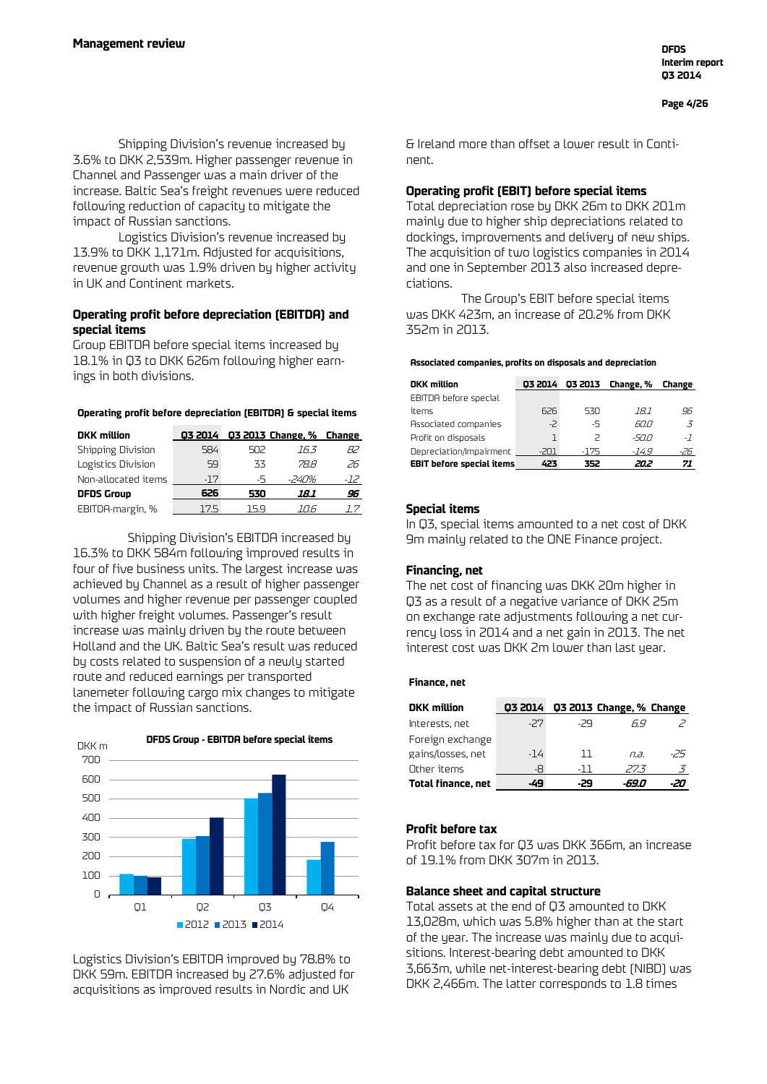Shipping Division's revenue increased by 3.6% to DKK 2,539m. Higher passenger revenue in Channel and Passenger was a main driver of the increase. Baltic Sea's freight revenues were reduced following reduction of capacity to mitigate the impact of Russian sanctions.

Logistics Division's revenue increased by 13.9% to DKK 1,171m. Adjusted for acquisitions, revenue growth was 1.9% driven by higher activity in UK and Continent markets.

### **Operating profit before depreciation (EBITDA) and special items**

Group EBITDA before special items increased by 18.1% in Q3 to DKK 626m following higher earnings in both divisions.

#### **Operating profit before depreciation (EBITDA) & special items**

| <b>DKK</b> million  | 03 2014 |     | Q3 2013 Change, % Change |     |
|---------------------|---------|-----|--------------------------|-----|
| Shipping Division   | 584     | 502 | 163                      | 82  |
| Logistics Division  | 59      | 33  | 78 R                     | 26  |
| Non-allocated items | $-17$   | -5  | -240%                    | -12 |
| <b>DFDS Group</b>   | 626     | 530 | 18.1                     | 96  |
| EBITDA-margin, %    | 175     | 159 | 11 I h                   |     |

Shipping Division's EBITDA increased by 16.3% to DKK 584m following improved results in four of five business units. The largest increase was achieved by Channel as a result of higher passenger volumes and higher revenue per passenger coupled with higher freight volumes. Passenger's result increase was mainly driven by the route between Holland and the UK. Baltic Sea's result was reduced by costs related to suspension of a newly started route and reduced earnings per transported lanemeter following cargo mix changes to mitigate the impact of Russian sanctions.



Logistics Division's EBITDA improved by 78.8% to DKK 59m. EBITDA increased by 27.6% adjusted for acquisitions as improved results in Nordic and UK

& Ireland more than offset a lower result in Continent.

### **Operating profit (EBIT) before special items**

Total depreciation rose by DKK 26m to DKK 201m mainly due to higher ship depreciations related to dockings, improvements and delivery of new ships. The acquisition of two logistics companies in 2014 and one in September 2013 also increased depreciations.

The Group's EBIT before special items was DKK 423m, an increase of 20.2% from DKK 352m in 2013.

#### **Associated companies, profits on disposals and depreciation**

| <b>DKK</b> million               | 03 2014 | Q3 2013                  | Change, % | Change         |
|----------------------------------|---------|--------------------------|-----------|----------------|
| EBITDA before special            |         |                          |           |                |
| items                            | 626     | 530                      | 18.1      | 96             |
| Associated companies             | $-2$    | -5                       | 60.0      | $\overline{z}$ |
| Profit on disposals              |         | $\overline{\phantom{1}}$ | -50.0     | $-7$           |
| Depreciation/Impairment          | -201    | -175                     | $-149$    | -26            |
| <b>EBIT before special items</b> | 423     | 352                      | 20.2      | 71             |

### **Special items**

In Q3, special items amounted to a net cost of DKK 9m mainly related to the ONE Finance project.

### **Financing, net**

The net cost of financing was DKK 20m higher in Q3 as a result of a negative variance of DKK 25m on exchange rate adjustments following a net currency loss in 2014 and a net gain in 2013. The net interest cost was DKK 2m lower than last year.

### **Finance, net**

| <b>DKK</b> million        | 03 2014 |       | Q3 2013 Change, % Change |     |
|---------------------------|---------|-------|--------------------------|-----|
| Interests, net            | -27     | -29   | 69                       |     |
| Foreign exchange          |         |       |                          |     |
| gains/losses, net         | $-14$   | 11    | $\overline{a}$           | -25 |
| Other items               | -8      | - 1 1 | 27.3                     |     |
| <b>Total finance, net</b> |         | .79   |                          |     |

### **Profit before tax**

Profit before tax for Q3 was DKK 366m, an increase of 19.1% from DKK 307m in 2013.

### **Balance sheet and capital structure**

Total assets at the end of Q3 amounted to DKK 13,028m, which was 5.8% higher than at the start of the year. The increase was mainly due to acquisitions. Interest-bearing debt amounted to DKK 3,663m, while net-interest-bearing debt (NIBD) was DKK 2,466m. The latter corresponds to 1.8 times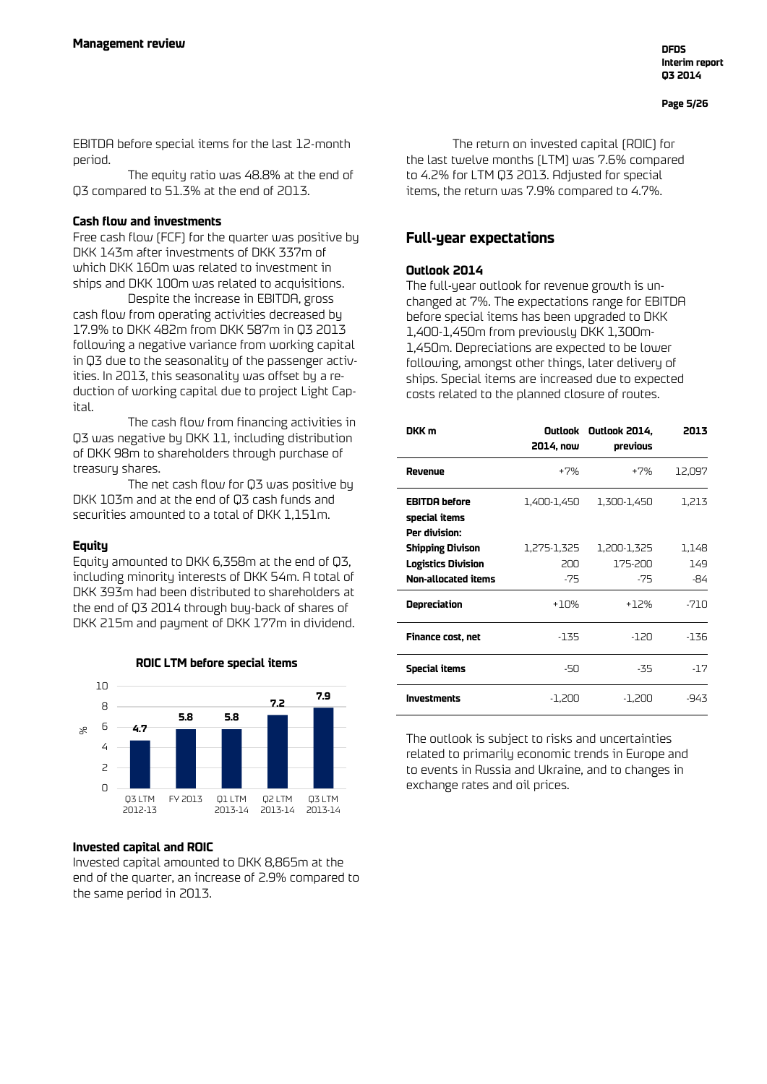EBITDA before special items for the last 12-month period.

The equity ratio was 48.8% at the end of Q3 compared to 51.3% at the end of 2013.

### **Cash flow and investments**

Free cash flow (FCF) for the quarter was positive by DKK 143m after investments of DKK 337m of which DKK 160m was related to investment in ships and DKK 100m was related to acquisitions.

Despite the increase in EBITDA, gross cash flow from operating activities decreased by 17.9% to DKK 482m from DKK 587m in Q3 2013 following a negative variance from working capital in Q3 due to the seasonality of the passenger activities. In 2013, this seasonality was offset by a reduction of working capital due to project Light Capital.

The cash flow from financing activities in Q3 was negative by DKK 11, including distribution of DKK 98m to shareholders through purchase of treasury shares.

The net cash flow for Q3 was positive by DKK 103m and at the end of Q3 cash funds and securities amounted to a total of DKK 1,151m.

### **Equity**

Equity amounted to DKK 6,358m at the end of Q3, including minority interests of DKK 54m. A total of DKK 393m had been distributed to shareholders at the end of Q3 2014 through buy-back of shares of DKK 215m and payment of DKK 177m in dividend.



### **ROIC LTM before special items**

### **Invested capital and ROIC**

Invested capital amounted to DKK 8,865m at the end of the quarter, an increase of 2.9% compared to the same period in 2013.

The return on invested capital (ROIC) for the last twelve months (LTM) was 7.6% compared to 4.2% for LTM Q3 2013. Adjusted for special items, the return was 7.9% compared to 4.7%.

### **Full-year expectations**

### **Outlook 2014**

The full-year outlook for revenue growth is unchanged at 7%. The expectations range for EBITDA before special items has been upgraded to DKK 1,400-1,450m from previously DKK 1,300m-1,450m. Depreciations are expected to be lower following, amongst other things, later delivery of ships. Special items are increased due to expected costs related to the planned closure of routes.

| DKK m                                                                       | 2014, now                   | Outlook Outlook 2014,<br>previous | 2013                |
|-----------------------------------------------------------------------------|-----------------------------|-----------------------------------|---------------------|
| Revenue                                                                     | $+7%$                       | $+7%$                             | 12,097              |
| <b>EBITDA</b> before<br>special items<br>Per division:                      | 1,400-1,450                 | 1,300-1,450                       | 1,213               |
| <b>Shipping Divison</b><br><b>Logistics Division</b><br>Non-allocated items | 1,275-1,325<br>200<br>$-75$ | 1,200-1,325<br>175-200<br>$-75$   | 1,148<br>149<br>-84 |
| Depreciation                                                                | +10%                        | $+12%$                            | -710                |
| Finance cost, net                                                           | -135                        | -120                              | -136                |
| Special items                                                               | -50                         | -35                               | -17                 |
| <b>Investments</b>                                                          | $-1,200$                    | -1,200                            | -943                |

The outlook is subject to risks and uncertainties related to primarily economic trends in Europe and to events in Russia and Ukraine, and to changes in exchange rates and oil prices.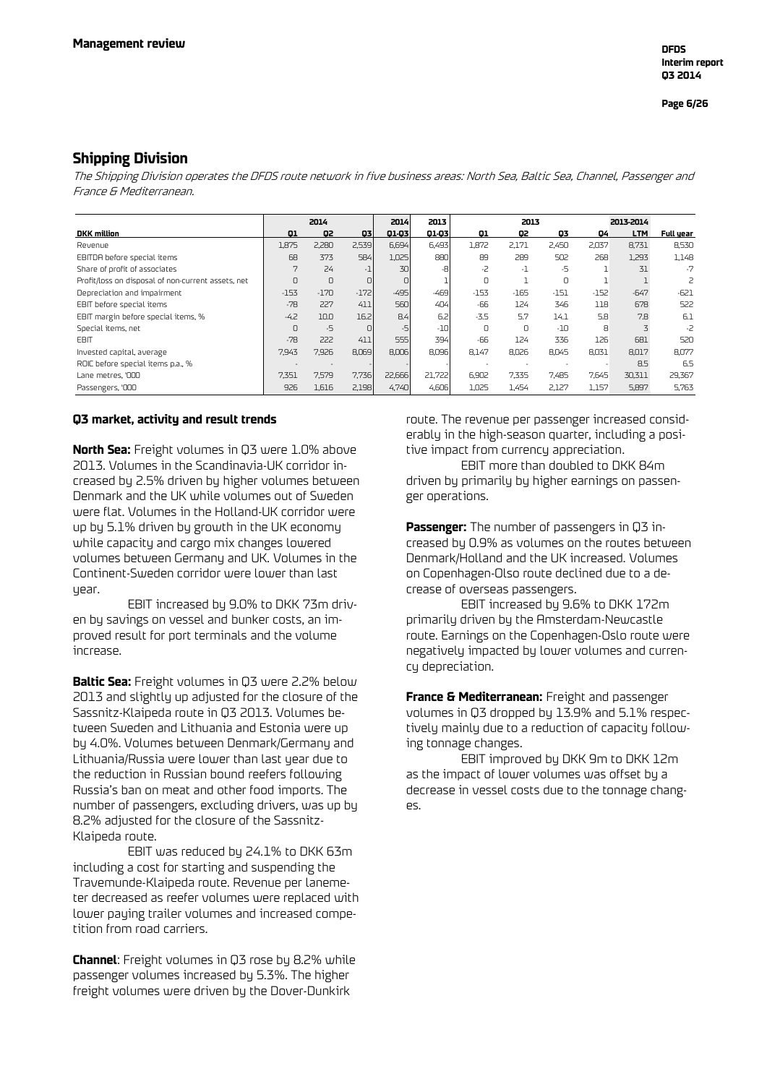### **Shipping Division**

The Shipping Division operates the DFDS route network in five business areas: North Sea, Baltic Sea, Channel, Passenger and France & Mediterranean.

|                                                    |        | 2014   |        | 2013<br>2014<br>2013 |        |          | 2013-2014 |        |        |            |                          |
|----------------------------------------------------|--------|--------|--------|----------------------|--------|----------|-----------|--------|--------|------------|--------------------------|
| <b>DKK</b> million                                 | 01     | O2     | 03     | 01-03                | 01-03  | 01       | Q2        | 03     | 04     | <b>LTM</b> | Full year                |
| Revenue                                            | 1,875  | 2,280  | 2,539  | 6,694                | 6.493  | 1.872    | 2.171     | 2.450  | 2.037  | 8,731      | 8,530                    |
| EBITDA before special items                        | 68     | 373    | 584    | 1,025                | 880    | 89       | 289       | 502    | 268    | 1,293      | 1,148                    |
| Share of profit of associates                      | 7      | 24     | $-1$   | 30                   | -8     | -2       | -1        | -5     |        | 31         | $-7$                     |
| Profit/loss on disposal of non-current assets, net | $\cap$ | $\cap$ | $\Box$ | O.                   |        | O        |           | U      |        |            | $\overline{\phantom{0}}$ |
| Depreciation and impairment                        | $-153$ | $-170$ | $-172$ | $-495$               | $-469$ | $-153$   | $-165$    | $-151$ | $-152$ | $-647$     | $-621$                   |
| EBIT before special items                          | $-78$  | 227    | 411    | 560                  | 404    | -66      | 124       | 346    | 118    | 678        | 522                      |
| EBIT margin before special items, %                | $-4.2$ | 10.0   | 16.2   | 8.4                  | 6.2    | $-3.5$   | 5.7       | 14.1   | 5.8    | 7.8        | 6.1                      |
| Special items, net                                 | 0      | $-5$   | ΩI     | -5                   | $-10$  | $\Omega$ | 0         | $-10$  | 8      | 3          | -2                       |
| <b>EBIT</b>                                        | $-78$  | 222    | 411    | 555                  | 394    | -66      | 124       | 336    | 126    | 681        | 520                      |
| Invested capital, average                          | 7,943  | 7,926  | 8.069  | 8,006                | 8,096  | 8,147    | 8,026     | 8,045  | 8,031  | 8,017      | 8,077                    |
| ROIC before special items p.a., %                  |        |        |        |                      |        |          |           |        |        | 8.5        | 6.5                      |
| Lane metres, '000                                  | 7.351  | 7.579  | 7,736  | 22,666               | 21.722 | 6.902    | 7.335     | 7.485  | 7.645  | 30,311     | 29,367                   |
| Passengers, '000                                   | 926    | 1,616  | 2,198  | 4,740                | 4,606  | 1,025    | 1,454     | 2,127  | 1,157  | 5,897      | 5,763                    |

### **Q3 market, activity and result trends**

**North Sea:** Freight volumes in Q3 were 1.0% above 2013. Volumes in the Scandinavia-UK corridor increased by 2.5% driven by higher volumes between Denmark and the UK while volumes out of Sweden were flat. Volumes in the Holland-UK corridor were up by 5.1% driven by growth in the UK economy while capacity and cargo mix changes lowered volumes between Germany and UK. Volumes in the Continent-Sweden corridor were lower than last uear.

EBIT increased by 9.0% to DKK 73m driven by savings on vessel and bunker costs, an improved result for port terminals and the volume increase.

**Baltic Sea:** Freight volumes in Q3 were 2.2% below 2013 and slightly up adjusted for the closure of the Sassnitz-Klaipeda route in Q3 2013. Volumes between Sweden and Lithuania and Estonia were up by 4.0%. Volumes between Denmark/Germany and Lithuania/Russia were lower than last year due to the reduction in Russian bound reefers following Russia's ban on meat and other food imports. The number of passengers, excluding drivers, was up by 8.2% adjusted for the closure of the Sassnitz-Klaipeda route.

EBIT was reduced by 24.1% to DKK 63m including a cost for starting and suspending the Travemunde-Klaipeda route. Revenue per lanemeter decreased as reefer volumes were replaced with lower paying trailer volumes and increased competition from road carriers.

**Channel**: Freight volumes in Q3 rose by 8.2% while passenger volumes increased by 5.3%. The higher freight volumes were driven by the Dover-Dunkirk

route. The revenue per passenger increased considerably in the high-season quarter, including a positive impact from currency appreciation.

EBIT more than doubled to DKK 84m driven by primarily by higher earnings on passenger operations.

**Passenger:** The number of passengers in Q3 increased by 0.9% as volumes on the routes between Denmark/Holland and the UK increased. Volumes on Copenhagen-Olso route declined due to a decrease of overseas passengers.

EBIT increased by 9.6% to DKK 172m primarily driven by the Amsterdam-Newcastle route. Earnings on the Copenhagen-Oslo route were negatively impacted by lower volumes and currency depreciation.

**France & Mediterranean:** Freight and passenger volumes in Q3 dropped by 13.9% and 5.1% respectively mainly due to a reduction of capacity following tonnage changes.

EBIT improved by DKK 9m to DKK 12m as the impact of lower volumes was offset by a decrease in vessel costs due to the tonnage changes.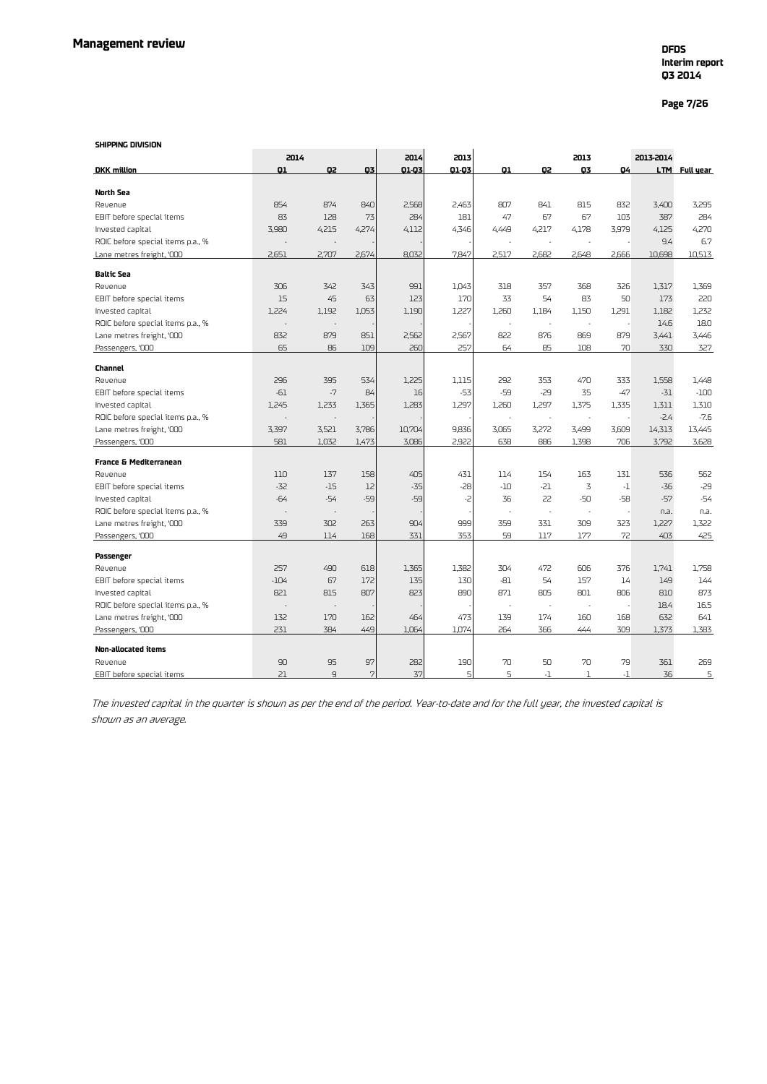### **Page 7/26**

#### **SHIPPING DIVISION**

| <b>SHIPPING DIVISION</b>          |        |                          |       |        |       |                          |                |       |           |            |           |
|-----------------------------------|--------|--------------------------|-------|--------|-------|--------------------------|----------------|-------|-----------|------------|-----------|
|                                   | 2014   |                          |       | 2014   | 2013  |                          |                | 2013  |           | 2013-2014  |           |
| <b>DKK</b> million                | 01     | Q2                       | 03    | 01-03  | 01-03 | Q1                       | Q2             | 03    | Q4        | <b>LTM</b> | Full year |
|                                   |        |                          |       |        |       |                          |                |       |           |            |           |
| <b>North Sea</b>                  |        |                          |       |        |       |                          |                |       |           |            |           |
| Revenue                           | 854    | 874                      | 840   | 2,568  | 2,463 | 807                      | 841            | 815   | 832       | 3,400      | 3,295     |
| EBIT before special items         | 83     | 128                      | 73    | 284    | 181   | 47                       | 67             | 67    | 103       | 387        | 284       |
| Invested capital                  | 3,980  | 4,215                    | 4,274 | 4,112  | 4,346 | 4,449                    | 4,217          | 4,178 | 3,979     | 4,125      | 4,270     |
| ROIC before special items p.a., % |        |                          |       |        |       |                          |                |       |           | 9.4        | 6.7       |
| Lane metres freight, '000         | 2.651  | 2,707                    | 2,674 | 8.032  | 7.847 | 2.517                    | 2,682          | 2.648 | 2.666     | 10.698     | 10.513    |
| <b>Baltic Sea</b>                 |        |                          |       |        |       |                          |                |       |           |            |           |
| Revenue                           | 306    | 342                      | 343   | 991    | 1.043 | 318                      | 357            | 368   | 326       | 1,317      | 1,369     |
| EBIT before special items         | 15     | 45                       | 63    | 123    | 170   | 33                       | 54             | 83    | 50        | 173        | 220       |
| Invested capital                  | 1,224  | 1,192                    | 1,053 | 1,190  | 1,227 | 1,260                    | 1,184          | 1,150 | 1,291     | 1,182      | 1,232     |
| ROIC before special items p.a., % | ä,     | $\sim$                   |       |        |       | $\overline{\phantom{a}}$ | $\sim$         |       |           | 14.6       | 18.0      |
| Lane metres freight, '000         | 832    | 879                      | 851   | 2,562  | 2,567 | 822                      | 876            | 869   | 879       | 3,441      | 3,446     |
| Passengers, '000                  | 65     | 86                       | 109   | 260    | 257   | 64                       | 85             | 108   | 70        | 330        | 327       |
|                                   |        |                          |       |        |       |                          |                |       |           |            |           |
| <b>Channel</b>                    |        |                          |       |        |       |                          |                |       |           |            |           |
| Revenue                           | 296    | 395                      | 534   | 1,225  | 1,115 | 292                      | 353            | 470   | 333       | 1,558      | 1,448     |
| EBIT before special items         | $-61$  | $-7$                     | 84    | 16     | $-53$ | -59                      | -29            | 35    | $-47$     | $-31$      | $-100$    |
| Invested capital                  | 1,245  | 1,233                    | 1,365 | 1,283  | 1,297 | 1,260                    | 1,297          | 1,375 | 1,335     | 1,311      | 1,310     |
| ROIC before special items p.a., % |        | ä,                       |       |        |       |                          | $\overline{a}$ |       |           | $-2.4$     | $-7.6$    |
| Lane metres freight, '000         | 3,397  | 3,521                    | 3,786 | 10,704 | 9,836 | 3,065                    | 3,272          | 3,499 | 3,609     | 14,313     | 13,445    |
| Passengers, '000                  | 581    | 1,032                    | 1,473 | 3,086  | 2,922 | 638                      | 886            | 1.398 | 706       | 3,792      | 3,628     |
| <b>France &amp; Mediterranean</b> |        |                          |       |        |       |                          |                |       |           |            |           |
| Revenue                           | 110    | 137                      | 158   | 405    | 431   | 114                      | 154            | 163   | 131       | 536        | 562       |
| EBIT before special items         | $-32$  | $-15$                    | 12    | $-35$  | $-28$ | -10                      | $-21$          | 3     | $\cdot 1$ | $-36$      | $-29$     |
| Invested capital                  | $-64$  | $-54$                    | -59   | -59    | -2    | 36                       | 22             | $-50$ | $-58$     | $-57$      | $-54$     |
| ROIC before special items p.a., % | ä,     | ÷,                       |       |        |       | ÷,                       | $\sim$         |       |           | n.a.       | n.a.      |
| Lane metres freight, '000         | 339    | 302                      | 263   | 904    | 999   | 359                      | 331            | 309   | 323       | 1.227      | 1.322     |
| Passengers, '000                  | 49     | 114                      | 168   | 331    | 353   | 59                       | 117            | 177   | 72        | 403        | 425       |
|                                   |        |                          |       |        |       |                          |                |       |           |            |           |
| Passenger                         |        |                          |       |        |       |                          |                |       |           |            |           |
| Revenue                           | 257    | 490                      | 618   | 1,365  | 1,382 | 304                      | 472            | 606   | 376       | 1,741      | 1,758     |
| EBIT before special items         | $-104$ | 67                       | 172   | 135    | 130   | $-81$                    | 54             | 157   | 14        | 149        | 144       |
| Invested capital                  | 821    | 815                      | 807   | 823    | 890   | 871                      | 805            | 801   | 806       | 810        | 873       |
| ROIC before special items p.a., % | ÷,     | $\overline{\phantom{a}}$ |       |        |       | ÷.                       | ÷,             | ÷.    |           | 18.4       | 16.5      |
| Lane metres freight, '000         | 132    | 170                      | 162   | 464    | 473   | 139                      | 174            | 160   | 168       | 632        | 641       |
| Passengers, '000                  | 231    | 384                      | 449   | 1,064  | 1,074 | 264                      | 366            | 444   | 309       | 1,373      | 1,383     |
| Non-allocated items               |        |                          |       |        |       |                          |                |       |           |            |           |
| Revenue                           | 90     | 95                       | 97    | 282    | 190   | 70                       | 50             | 70    | 79        | 361        | 269       |
| EBIT before special items         | 21     | $\overline{q}$           | 7     | 37     | 5     | 5                        | $\cdot$ 1      | 1     | $-1$      | 36         | 5         |

The invested capital in the quarter is shown as per the end of the period. Year-to-date and for the full year, the invested capital is shown as an average.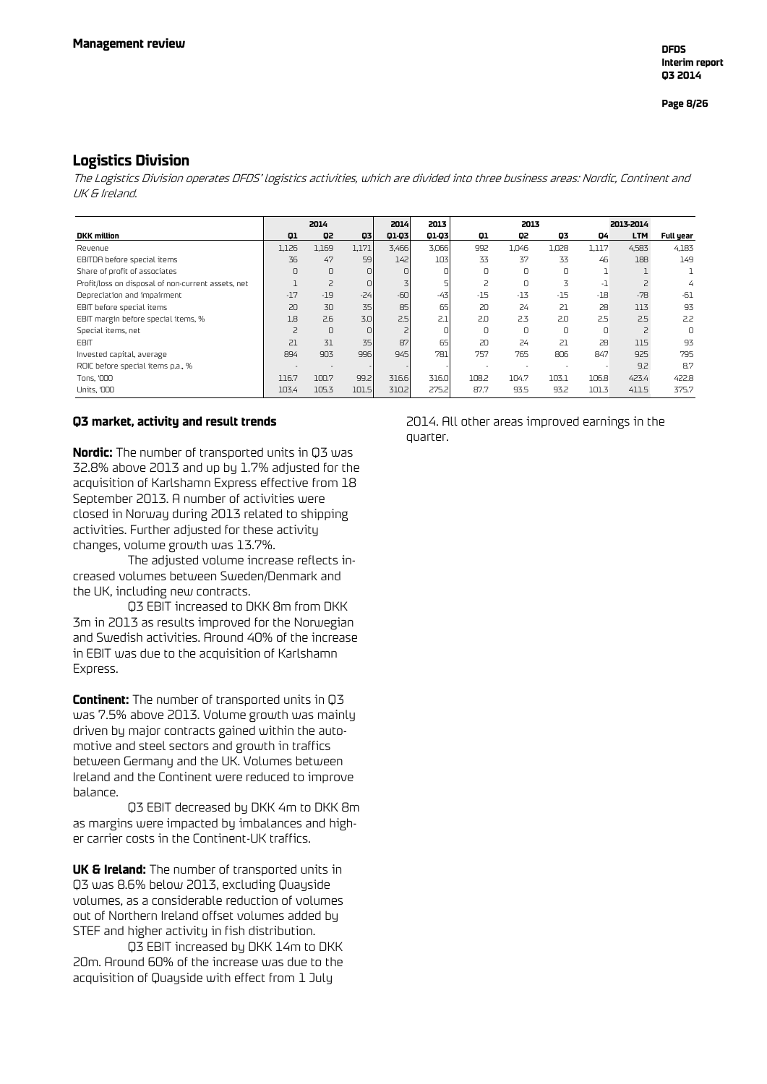### **Logistics Division**

The Logistics Division operates DFDS' logistics activities, which are divided into three business areas: Nordic, Continent and UK & Ireland.

|                                                    |                | 2014  |          | 2014  | 2013  | 2013  |        |       | 2013-2014 |                |           |
|----------------------------------------------------|----------------|-------|----------|-------|-------|-------|--------|-------|-----------|----------------|-----------|
| <b>DKK</b> million                                 | Q1             | Q2    | 03       | 01-03 | 01-03 | 01    | Q2     | Q3    | 04        | <b>LTM</b>     | Full year |
| Revenue                                            | 1,126          | 1,169 | 1,171    | 3,466 | 3,066 | 992   | 1,046  | 1,028 | 1,117     | 4,583          | 4,183     |
| EBITDA before special items                        | 36             | 47    | 59       | 142   | 103   | 33    | 37     | 33    | 46        | 188            | 149       |
| Share of profit of associates                      | 0              | 0     | 0        |       |       | 0     | 0      |       |           |                |           |
| Profit/loss on disposal of non-current assets, net |                | 2     | $\Box$   |       |       |       | $\cup$ | 3     | - 1       |                | 4         |
| Depreciation and impairment                        | $-17$          | $-19$ | $-24$    | $-60$ | $-43$ | $-15$ | $-13$  | $-15$ | $-18$     | $-78$          | $-61$     |
| EBIT before special items                          | 20             | 30    | 35       | 85    | 65    | 20    | 24     | 21    | 28        | 113            | 93        |
| EBIT margin before special items, %                | 1.8            | 2.6   | 3.01     | 2.5   | 2.1   | 2.0   | 2.3    | 2.0   | 2.5       | 2.5            | 2.2       |
| Special items, net                                 | $\overline{c}$ | 0     | $\Omega$ |       |       | U     | 0      | n     | $\Omega$  | $\overline{c}$ | $\cap$    |
| <b>EBIT</b>                                        | 21             | 31    | 35       | 87    | 65    | 20    | 24     | 21    | 28        | 115            | 93        |
| Invested capital, average                          | 894            | 903   | 996      | 945   | 781   | 757   | 765    | 806   | 847       | 925            | 795       |
| ROIC before special items p.a., %                  |                |       |          |       |       |       |        |       |           | 9.2            | 8.7       |
| Tons, '000                                         | 116.7          | 100.7 | 99.2     | 316.6 | 316.0 | 108.2 | 104.7  | 103.1 | 106.8     | 423.4          | 422.8     |
| <b>Units, '000</b>                                 | 103.4          | 105.3 | 101.5    | 310.2 | 275.2 | 87.7  | 93.5   | 93.2  | 101.3     | 411.5          | 375.7     |

### **Q3 market, activity and result trends**

**Nordic:** The number of transported units in Q3 was 32.8% above 2013 and up by 1.7% adjusted for the acquisition of Karlshamn Express effective from 18 September 2013. A number of activities were closed in Norway during 2013 related to shipping activities. Further adjusted for these activity changes, volume growth was 13.7%.

The adjusted volume increase reflects increased volumes between Sweden/Denmark and the UK, including new contracts.

Q3 EBIT increased to DKK 8m from DKK 3m in 2013 as results improved for the Norwegian and Swedish activities. Around 40% of the increase in EBIT was due to the acquisition of Karlshamn Express.

**Continent:** The number of transported units in Q3 was 7.5% above 2013. Volume growth was mainly driven by major contracts gained within the automotive and steel sectors and growth in traffics between Germany and the UK. Volumes between Ireland and the Continent were reduced to improve balance.

Q3 EBIT decreased by DKK 4m to DKK 8m as margins were impacted by imbalances and higher carrier costs in the Continent-UK traffics.

**UK & Ireland:** The number of transported units in Q3 was 8.6% below 2013, excluding Quayside volumes, as a considerable reduction of volumes out of Northern Ireland offset volumes added by STEF and higher activity in fish distribution.

Q3 EBIT increased by DKK 14m to DKK 20m. Around 60% of the increase was due to the acquisition of Quayside with effect from 1 July

2014. All other areas improved earnings in the quarter.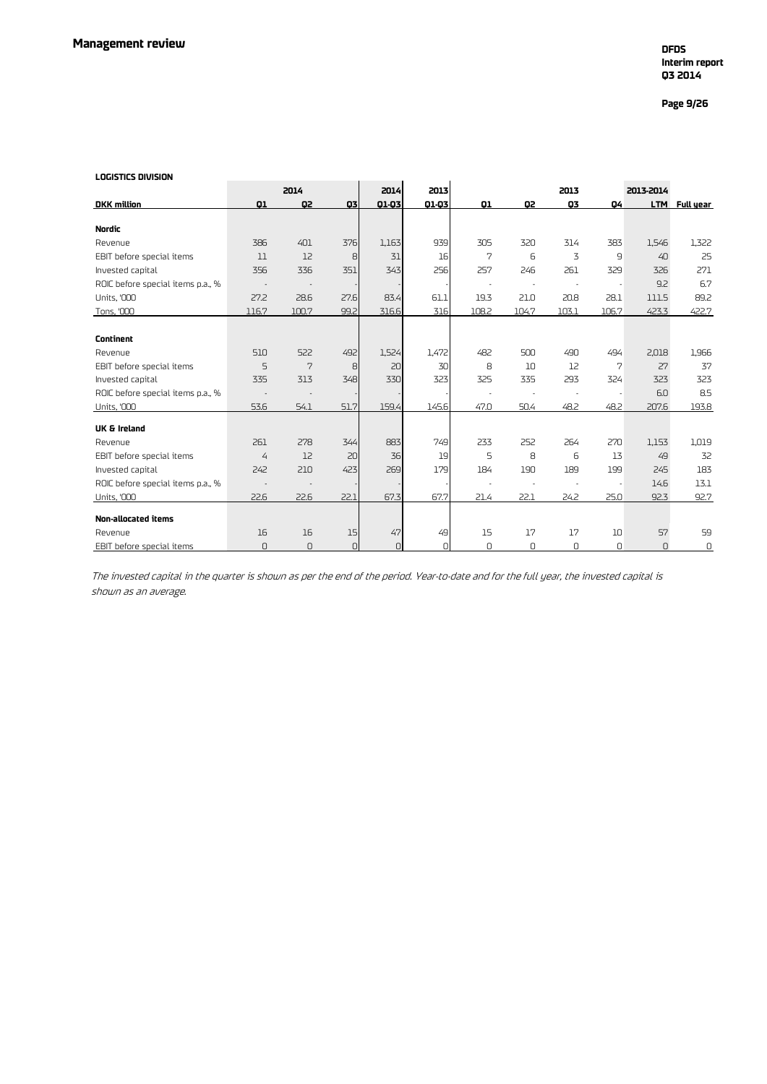### **Page 9/26**

#### **LOGISTICS DIVISION**

| LOGISTICS DIVISION                |                |       |          |          |        |          |       |          |       |           |               |
|-----------------------------------|----------------|-------|----------|----------|--------|----------|-------|----------|-------|-----------|---------------|
|                                   |                | 2014  |          | 2014     | 2013   |          |       | 2013     |       | 2013-2014 |               |
| <b>DKK</b> million                | 01             | Q2    | 03       | 01-03    | 01-03  | Q1       | Q2    | Q3       | 04    |           | LTM Full year |
|                                   |                |       |          |          |        |          |       |          |       |           |               |
| <b>Nordic</b>                     |                |       |          |          |        |          |       |          |       |           |               |
| Revenue                           | 386            | 401   | 376      | 1,163    | 939    | 305      | 320   | 314      | 383   | 1,546     | 1,322         |
| EBIT before special items         | 11             | 12    | 8        | 31       | 16     | 7        | 6     | 3        | 9     | 40        | 25            |
| Invested capital                  | 356            | 336   | 351      | 343      | 256    | 257      | 246   | 261      | 329   | 326       | 271           |
| ROIC before special items p.a., % |                |       |          |          |        |          |       |          |       | 9.2       | 6.7           |
| <b>Units, '000</b>                | 27.2           | 28.6  | 27.6     | 83.4     | 61.1   | 19.3     | 21.0  | 20.8     | 28.1  | 111.5     | 89.2          |
| Tons, '000                        | 116.7          | 100.7 | 99.2     | 316.6    | 316    | 108.2    | 104.7 | 103.1    | 106.7 | 423.3     | 422.7         |
|                                   |                |       |          |          |        |          |       |          |       |           |               |
| <b>Continent</b>                  |                |       |          |          |        |          |       |          |       |           |               |
| Revenue                           | 510            | 522   | 492      | 1,524    | 1.472  | 482      | 500   | 490      | 494   | 2,018     | 1,966         |
| EBIT before special items         | 5              | 7     | 8        | 20       | 30     | 8        | 10    | 12       | 7     | 27        | 37            |
| Invested capital                  | 335            | 313   | 348      | 330      | 323    | 325      | 335   | 293      | 324   | 323       | 323           |
| ROIC before special items p.a., % |                |       |          |          |        |          |       |          |       | 6.0       | 8.5           |
| <b>Units, '000</b>                | 53.6           | 54.1  | 51.7     | 159.4    | 145.6  | 47.0     | 50.4  | 48.2     | 48.2  | 207.6     | 193.8         |
| UK & Ireland                      |                |       |          |          |        |          |       |          |       |           |               |
| Revenue                           | 261            | 278   | 344      | 883      | 749    | 233      | 252   | 264      | 270   | 1,153     | 1,019         |
| EBIT before special items         | $\overline{4}$ | 12    | 20       | 36       | 19     | 5        | 8     | 6        | 13    | 49        | 32            |
| Invested capital                  | 242            | 210   | 423      | 269      | 179    | 184      | 190   | 189      | 199   | 245       | 183           |
| ROIC before special items p.a., % |                |       |          |          |        |          |       |          |       | 14.6      | 13.1          |
| <b>Units, '000</b>                | 22.6           | 22.6  | 22.1     | 67.3     | 67.7   | 21.4     | 22.1  | 24.2     | 25.0  | 92.3      | 92.7          |
|                                   |                |       |          |          |        |          |       |          |       |           |               |
| Non-allocated items               |                |       |          |          |        |          |       |          |       |           |               |
| Revenue                           | 16             | 16    | 15       | 47       | 49     | 15       | 17    | 17       | 10    | 57        | 59            |
| EBIT before special items         | $\Omega$       | U     | $\Omega$ | $\Omega$ | $\cap$ | $\Omega$ | U     | $\Omega$ | U     | U         | 0             |

The invested capital in the quarter is shown as per the end of the period. Year-to-date and for the full year, the invested capital is shown as an average.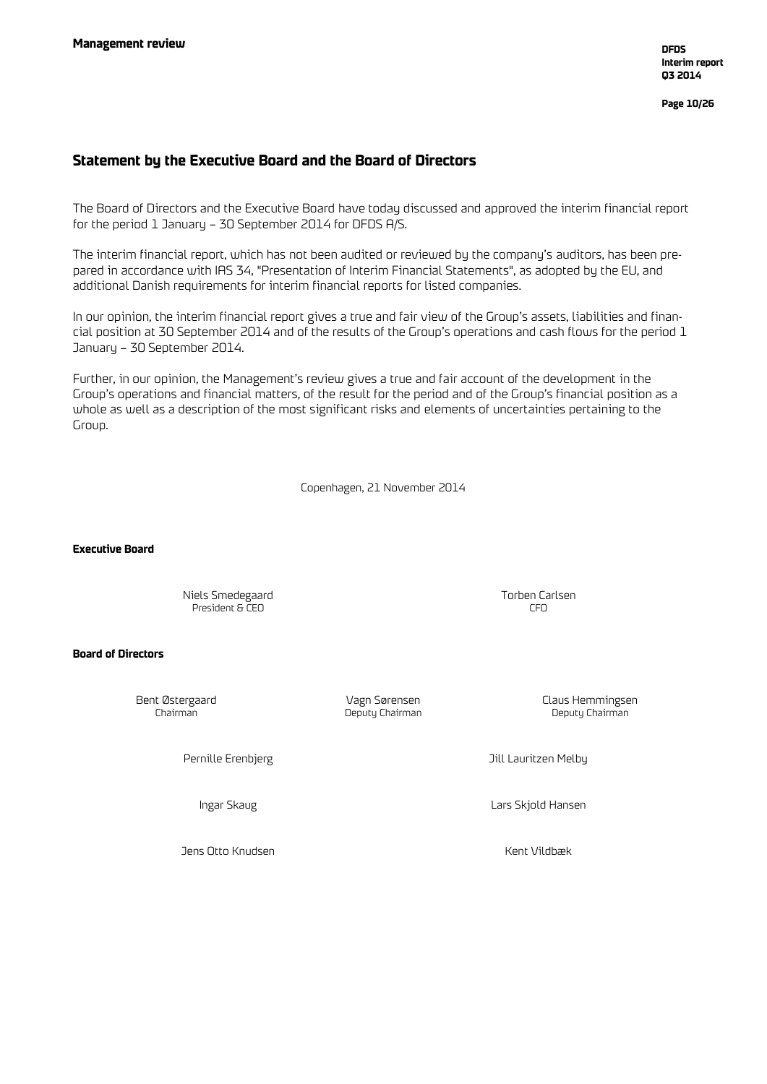**Page 10/26**

### **Statement by the Executive Board and the Board of Directors**

The Board of Directors and the Executive Board have today discussed and approved the interim financial report for the period 1 January – 30 September 2014 for DFDS A/S.

The interim financial report, which has not been audited or reviewed by the company's auditors, has been prepared in accordance with IAS 34, "Presentation of Interim Financial Statements", as adopted by the EU, and additional Danish requirements for interim financial reports for listed companies.

In our opinion, the interim financial report gives a true and fair view of the Group's assets, liabilities and financial position at 30 September 2014 and of the results of the Group's operations and cash flows for the period 1 January – 30 September 2014.

Further, in our opinion, the Management's review gives a true and fair account of the development in the Group's operations and financial matters, of the result for the period and of the Group's financial position as a whole as well as a description of the most significant risks and elements of uncertainties pertaining to the Group.

Copenhagen, 21 November 2014

**Executive Board**

Niels Smedegaard Torben Carlsen President & CEO

### **Board of Directors**

Deputy Chairman

Bent Østergaard Vagn Sørensen Claus Hemmingsen

Pernille Erenbjerg Jill Lauritzen Melby

Ingar Skaug Lars Skjold Hansen

Jens Otto Knudsen Kent Vildbæk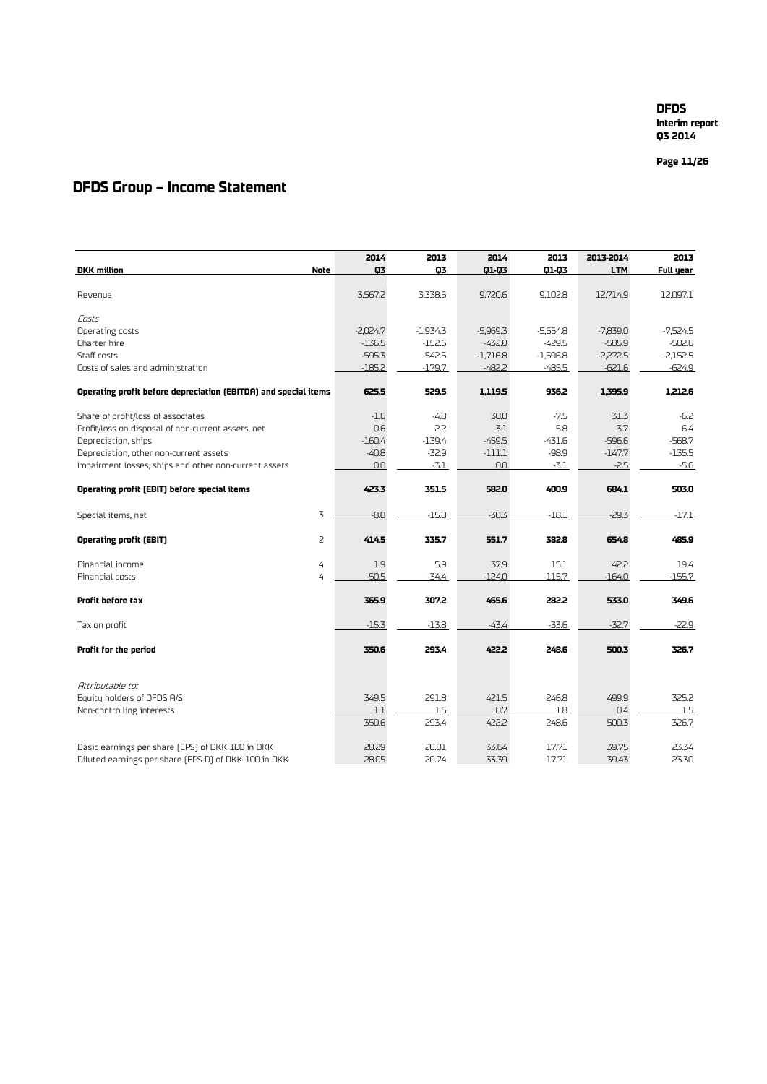**Page 11 /26**

### **DFDS Group – Income Statement**

|                                                                 | 2014       | 2013       | 2014       | 2013       | 2013-2014  | 2013       |
|-----------------------------------------------------------------|------------|------------|------------|------------|------------|------------|
| <b>DKK</b> million<br>Note                                      | 03         | Q3         | 01-03      | 01-03      | <b>LTM</b> | Full year  |
|                                                                 |            |            |            |            |            |            |
| Revenue                                                         | 3,567.2    | 3,338.6    | 9,720.6    | 9,102.8    | 12,714.9   | 12,097.1   |
| Costs                                                           |            |            |            |            |            |            |
| Operating costs                                                 | $-2,024.7$ | $-1,934.3$ | $-5,969.3$ | $-5,654.8$ | $-7,839.0$ | $-7,524.5$ |
| Charter hire                                                    | $-136.5$   | $-152.6$   | $-432.8$   | $-429.5$   | $-585.9$   | $-582.6$   |
| Staff costs                                                     | $-595.3$   | $-542.5$   | $-1,716.8$ | $-1,596.8$ | $-2,272.5$ | $-2,152.5$ |
| Costs of sales and administration                               | $-185.2$   | $-179.7$   | $-482.2$   | $-485.5$   | $-621.6$   | $-624.9$   |
| Operating profit before depreciation (EBITDA) and special items | 625.5      | 529.5      | 1,119.5    | 936.2      | 1.395.9    | 1.212.6    |
| Share of profit/loss of associates                              | $-1.6$     | $-4.8$     | 30.0       | $-7.5$     | 31.3       | $-6.2$     |
| Profit/loss on disposal of non-current assets, net              | 0.6        | 2.2        | 3.1        | 5.8        | 3.7        | 6.4        |
| Depreciation, ships                                             | $-160.4$   | $-139.4$   | $-459.5$   | $-431.6$   | $-596.6$   | $-568.7$   |
| Depreciation, other non-current assets                          | $-40.8$    | $-32.9$    | $-111.1$   | $-98.9$    | $-147.7$   | $-135.5$   |
| Impairment losses, ships and other non-current assets           | 0.0        | $-3.1$     | 0.0        | $-3.1$     | $-2.5$     | $-5.6$     |
|                                                                 |            |            |            |            |            |            |
| Operating profit (EBIT) before special items                    | 423.3      | 351.5      | 582.0      | 400.9      | 684.1      | 503.0      |
| 3<br>Special items, net                                         | $-8.8$     | $-15.8$    | $-30.3$    | $-18.1$    | $-29.3$    | $-17.1$    |
| $\overline{c}$<br><b>Operating profit (EBIT)</b>                | 414.5      | 335.7      | 551.7      | 382.8      | 654.8      | 485.9      |
| Financial income<br>4                                           | 1.9        | 5.9        | 37.9       | 15.1       | 42.2       | 19.4       |
| Financial costs<br>4                                            | $-50.5$    | $-34.4$    | $-124.0$   | $-115.7$   | $-164.0$   | $-155.7$   |
| Profit before tax                                               | 365.9      | 307.2      | 465.6      | 282.2      | 533.0      | 349.6      |
| Tax on profit                                                   | $-15.3$    | $-13.8$    | $-43.4$    | $-33.6$    | $-32.7$    | $-22.9$    |
| Profit for the period                                           | 350.6      | 293.4      | 422.2      | 248.6      | 500.3      | 326.7      |
| Attributable to:                                                |            |            |            |            |            |            |
| Equity holders of DFDS A/S                                      | 349.5      | 291.8      | 421.5      | 246.8      | 499.9      | 325.2      |
| Non-controlling interests                                       | 1.1        | 1.6        | 0.7        | 1.8        | 0.4        | 1.5        |
|                                                                 | 350.6      | 293.4      | 422.2      | 248.6      | 500.3      | 326.7      |
| Basic earnings per share [EPS] of DKK 100 in DKK                | 28.29      | 20.81      | 33.64      | 17.71      | 39.75      | 23.34      |
| Diluted earnings per share [EPS-D] of DKK 100 in DKK            | 28.05      | 20.74      | 33.39      | 17.71      | 39.43      | 23.30      |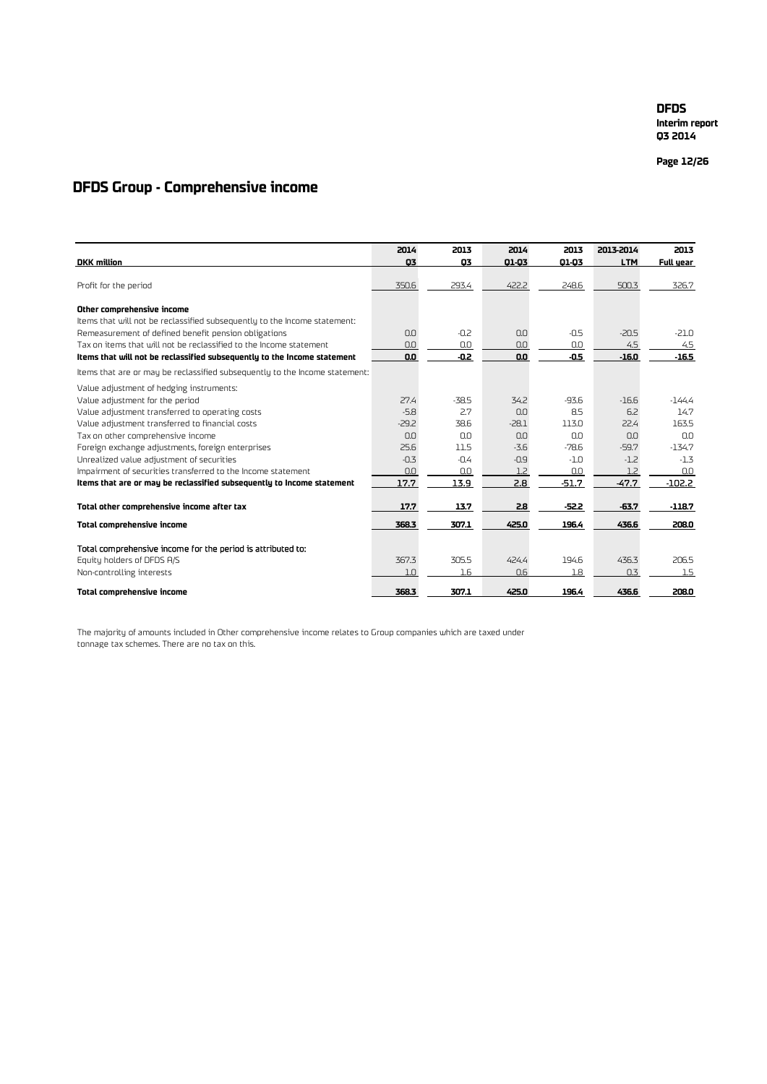**Interim report Q3 2014**

**Page 12 /26**

### **DFDS Group - Comprehensive income**

|                                                                             | 2014    | 2013    | 2014    | 2013    | 2013-2014  | 2013      |
|-----------------------------------------------------------------------------|---------|---------|---------|---------|------------|-----------|
| <b>DKK</b> million                                                          | 03      | 03      | 01-03   | 01-03   | <b>LTM</b> | Full year |
|                                                                             |         |         |         |         |            |           |
| Profit for the period                                                       | 350.6   | 293.4   | 422.2   | 248.6   | 500.3      | 326.7     |
| Other comprehensive income                                                  |         |         |         |         |            |           |
| Items that will not be reclassified subsequently to the Income statement:   |         |         |         |         |            |           |
| Remeasurement of defined benefit pension obligations                        | 0.0     | $-0.2$  | 0.0     | $-0.5$  | $-20.5$    | $-21.0$   |
| Tax on items that will not be reclassified to the Income statement          | 0.0     | 0.0     | 0.0     | 0.0     | 4.5        | 4.5       |
| Items that will not be reclassified subsequently to the Income statement    | 0.0     | -0.2    | 0.0     | $-0.5$  | $-16.0$    | $-16.5$   |
| Items that are or may be reclassified subsequently to the Income statement: |         |         |         |         |            |           |
| Value adjustment of hedging instruments:                                    |         |         |         |         |            |           |
| Value adjustment for the period                                             | 27.4    | $-38.5$ | 34.2    | $-93.6$ | $-16.6$    | -144.4    |
| Value adjustment transferred to operating costs                             | $-5.8$  | 2.7     | 0.0     | 8.5     | 6.2        | 14.7      |
| Value adjustment transferred to financial costs                             | $-29.2$ | 38.6    | $-28.1$ | 113.0   | 22.4       | 163.5     |
| Tax on other comprehensive income                                           | 0.0     | 0.0     | 0.0     | 0.0     | 0.0        | 0.0       |
| Foreign exchange adjustments, foreign enterprises                           | 25.6    | 11.5    | $-3.6$  | $-78.6$ | $-59.7$    | $-134.7$  |
| Unrealized value adjustment of securities                                   | $-0.3$  | $-0.4$  | $-0.9$  | $-1.0$  | $-1.2$     | $-1.3$    |
| Impairment of securities transferred to the Income statement                | 0.0     | 0.0     | 1.2     | 0.0     | 1.2        | 0.0       |
| Items that are or may be reclassified subsequently to Income statement      | 17.7    | 13.9    | 2.8     | $-51.7$ | $-47.7$    | $-102.2$  |
| Total other comprehensive income after tax                                  | 17.7    | 13.7    | 2.8     | $-52.2$ | $-63.7$    | $-118.7$  |
| Total comprehensive income                                                  | 368.3   | 307.1   | 425.0   | 196.4   | 436.6      | 208.0     |
| Total comprehensive income for the period is attributed to:                 |         |         |         |         |            |           |
| Equity holders of DFDS A/S                                                  | 367.3   | 305.5   | 424.4   | 194.6   | 436.3      | 206.5     |
| Non-controlling interests                                                   | 1.0     | $1.6\,$ | 0.6     | 1.8     | 0.3        | 1.5       |
| <b>Total comprehensive income</b>                                           | 368.3   | 307.1   | 425.0   | 196.4   | 436.6      | 208.0     |

The majority of amounts included in Other comprehensive income relates to Group companies which are taxed under tonnage tax schemes. There are no tax on this.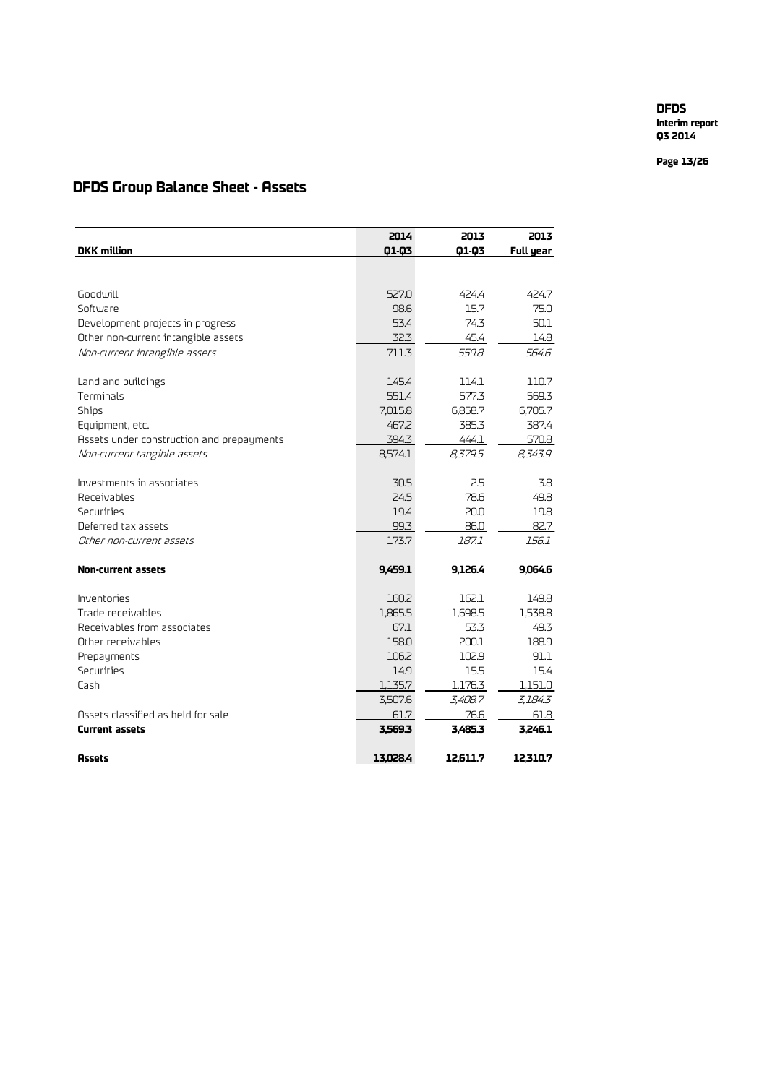**Interim report Q3 2014**

**Page 13 /26**

### **DFDS Group Balance Sheet - Assets**

|                                           | 2014     | 2013     | 2013      |
|-------------------------------------------|----------|----------|-----------|
| <b>DKK</b> million                        | 01-03    | 01-03    | Full year |
|                                           |          |          |           |
| Goodwill                                  | 527.0    | 424.4    | 424.7     |
| Software                                  | 98.6     | 15.7     | 75.0      |
| Development projects in progress          | 53.4     | 74.3     | 50.1      |
| Other non-current intangible assets       | 32.3     | 45.4     | 14.8      |
| Non-current intangible assets             | 711.3    | 559.8    | 564.6     |
|                                           |          |          |           |
| Land and buildings                        | 145.4    | 114.1    | 110.7     |
| Terminals                                 | 551.4    | 577.3    | 569.3     |
| <b>Ships</b>                              | 7,015.8  | 6,858.7  | 6,705.7   |
| Equipment, etc.                           | 467.2    | 385.3    | 387.4     |
| Assets under construction and prepayments | 394.3    | 444.1    | 570.8     |
| Non-current tangible assets               | 8,574.1  | 8,379.5  | 8,343.9   |
|                                           |          |          |           |
| Investments in associates                 | 30.5     | 2.5      | 3.8       |
| Receivables                               | 24.5     | 78.6     | 49.8      |
| Securities                                | 19.4     | 20.0     | 19.8      |
| Deferred tax assets                       | 99.3     | 86.0     | 82.7      |
| Other non-current assets                  | 173.7    | 187.1    | 156.1     |
| <b>Non-current assets</b>                 | 9.459.1  | 9,126.4  | 9,064.6   |
|                                           |          |          |           |
| Inventories                               | 160.2    | 162.1    | 149.8     |
| Trade receivables                         | 1,865.5  | 1,698.5  | 1,538.8   |
| Receivables from associates               | 67.1     | 53.3     | 49.3      |
| Other receivables                         | 158.0    | 200.1    | 188.9     |
| Prepayments                               | 106.2    | 102.9    | 91.1      |
| Securities                                | 14.9     | 15.5     | 15.4      |
| Cash                                      | 1,135.7  | 1,176.3  | 1,151.0   |
|                                           | 3,507.6  | 3,408.7  | 3,184.3   |
| Assets classified as held for sale        | 61.7     | 76.6     | 61.8      |
| Current assets                            | 3,569.3  | 3,485.3  | 3,246.1   |
| <b>Assets</b>                             | 13,028.4 | 12.611.7 | 12.310.7  |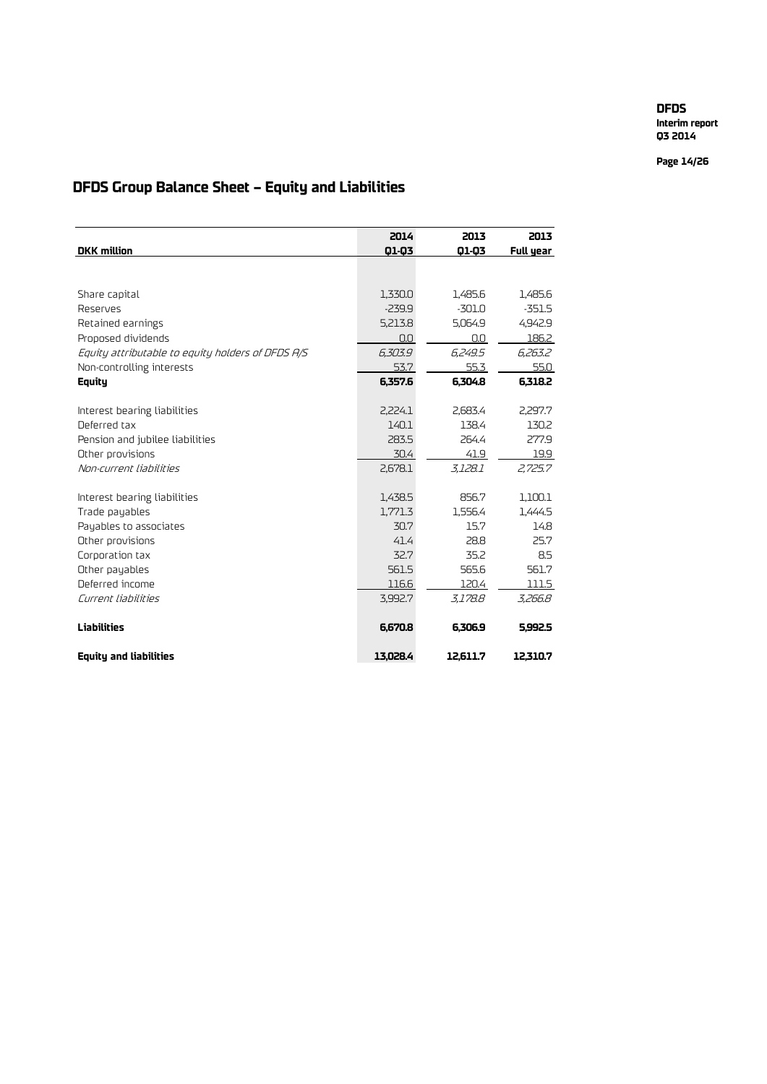**Interim report Q3 2014**

**Page 14/26**

## **DFDS Group Balance Sheet – Equity and Liabilities**

|                                                   | 2014     | 2013     | 2013      |
|---------------------------------------------------|----------|----------|-----------|
| <b>DKK</b> million                                | 01-03    | 01-03    | Full year |
|                                                   |          |          |           |
|                                                   |          |          |           |
| Share capital                                     | 1,330.0  | 1,485.6  | 1,485.6   |
| Reserves                                          | $-239.9$ | $-301.0$ | $-351.5$  |
| Retained earnings                                 | 5,213.8  | 5,064.9  | 4,942.9   |
| Proposed dividends                                | 0.0      | 0.0      | 186.2     |
| Equity attributable to equity holders of DFDS A/S | 6,303.9  | 6.249.5  | 6,263.2   |
| Non-controlling interests                         | 53.7     | 55.3     | 55.0      |
| Equity                                            | 6.357.6  | 6.304.8  | 6.318.2   |
|                                                   |          |          |           |
| Interest bearing liabilities                      | 2,224.1  | 2,683.4  | 2.297.7   |
| Deferred tax                                      | 140.1    | 138.4    | 130.2     |
| Pension and jubilee liabilities                   | 283.5    | 264.4    | 277.9     |
| Other provisions                                  | 30.4     | 41.9     | 19.9      |
| Non-current liabilities                           | 2,678.1  | 3.128.1  | 2,725.7   |
|                                                   |          |          |           |
| Interest bearing liabilities                      | 1,438.5  | 856.7    | 1,100.1   |
| Trade payables                                    | 1,771.3  | 1,556.4  | 1,444.5   |
| Payables to associates                            | 30.7     | 15.7     | 14.8      |
| Other provisions                                  | 41.4     | 28.8     | 25.7      |
| Corporation tax                                   | 32.7     | 35.2     | 8.5       |
| Other payables                                    | 561.5    | 565.6    | 561.7     |
| Deferred income                                   | 116.6    | 120.4    | 111.5     |
| Current liabilities                               | 3,992.7  | 3.178.8  | 3,266.8   |
|                                                   |          |          |           |
| <b>Liabilities</b>                                | 6,670.8  | 6.306.9  | 5.992.5   |
| <b>Equity and liabilities</b>                     | 13.028.4 | 12.611.7 | 12.310.7  |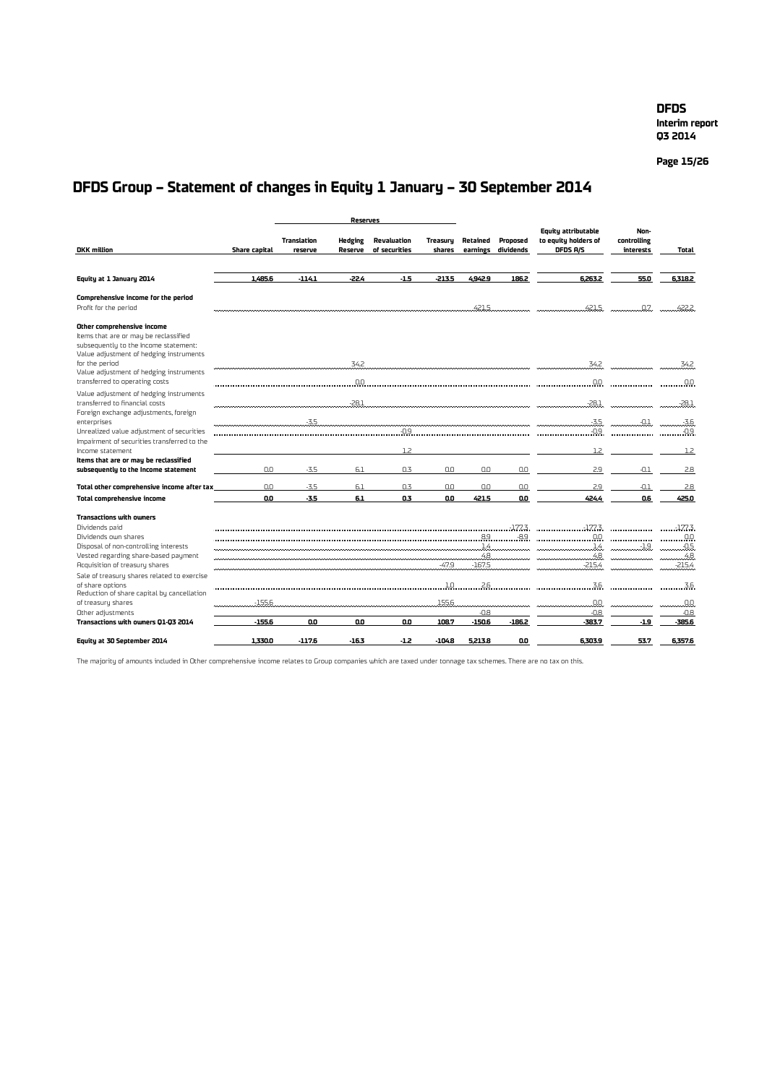**Interim report Q3 2014**

**Page 15/26**

## **DFDS Group – Statement of changes in Equity 1 January – 30 September 2014**

|                                                                                                                                                         |               |                               | <b>Reserves</b>           |                              |                           |                      |                       |                                                         |                                  |                  |
|---------------------------------------------------------------------------------------------------------------------------------------------------------|---------------|-------------------------------|---------------------------|------------------------------|---------------------------|----------------------|-----------------------|---------------------------------------------------------|----------------------------------|------------------|
| <b>DKK</b> million                                                                                                                                      | Share capital | <b>Translation</b><br>reserve | <b>Hedging</b><br>Reserve | Revaluation<br>of securities | <b>Treasuru</b><br>shares | Retained<br>earnings | Proposed<br>dividends | Equity attributable<br>to equity holders of<br>DFDS A/S | Non-<br>controlling<br>interests | Total            |
|                                                                                                                                                         |               |                               |                           |                              |                           |                      |                       |                                                         |                                  |                  |
| Equity at 1 January 2014                                                                                                                                | 1.485.6       | $-114.1$                      | $-22.4$                   | $-1.5$                       | $-213.5$                  | 4.942.9              | 186.2                 | 6.263.2                                                 | 55.0                             | 6,318.2          |
| Comprehensive income for the period<br>Profit for the period                                                                                            |               |                               |                           |                              |                           | 421.5                |                       | 421.5                                                   | .0.7.                            | 422.2            |
| Other comprehensive income<br>Items that are or may be reclassified<br>subsequently to the Income statement:<br>Value adjustment of hedging instruments |               |                               |                           |                              |                           |                      |                       |                                                         |                                  |                  |
| for the period<br>Value adjustment of hedging instruments                                                                                               |               |                               | 34.2                      |                              |                           |                      |                       | 34.2                                                    |                                  | 34.2             |
| transferred to operating costs<br>Value adjustment of hedging instruments                                                                               |               |                               | $0.0\,$                   |                              |                           |                      |                       | 0.0                                                     |                                  | 0.0              |
| transferred to financial costs<br>Foreign exchange adjustments, foreign                                                                                 |               |                               |                           | <u>.28.1</u>                 |                           |                      |                       | $-28.1$                                                 |                                  | -28.1            |
| enterprises<br>Unrealized value adjustment of securities                                                                                                |               | $-3.5$                        |                           | $-0.9$                       |                           |                      |                       | $-3.5$<br>$-0.9$                                        | $-0.1$                           | $-3.6$<br>$-0.9$ |
| Impairment of securities transferred to the<br>Income statement                                                                                         |               |                               |                           | 12                           |                           |                      |                       | 1.2                                                     |                                  | 1.2              |
| Items that are or may be reclassified<br>subsequently to the income statement                                                                           | n.n           | $-3.5$                        | 6.1                       | $\bigcap$ . 3                | 0.0                       | 0.0                  | n.n                   | 2.9                                                     | $-0.1$                           | 2.8              |
| Total other comprehensive income after tax                                                                                                              | 0.0           | $-3.5$                        | 6.1                       | 0.3                          | 0.0                       | 0.0                  | 0.0                   | 2.9                                                     | $-0.1$                           | 2.8              |
| Total comprehensive income                                                                                                                              | 0.0           | $-3.5$                        | 6.1                       | 0.3                          | 0.O                       | 421.5                | 0.0                   | 424.4                                                   | 0.6                              | 425.0            |
| <b>Transactions with owners</b>                                                                                                                         |               |                               |                           |                              |                           |                      |                       |                                                         |                                  |                  |
| Dividends paid                                                                                                                                          |               |                               |                           |                              |                           |                      | $-177.3$              | $-177.3$                                                | .                                | $-177.3$         |
| Dividends own shares                                                                                                                                    |               |                               |                           |                              |                           | 89                   | $-89$                 |                                                         | ---------------                  | $\sim$ 0.0       |
| Disposal of non-controlling interests                                                                                                                   |               |                               |                           |                              |                           | .14                  |                       | . 1.4.                                                  | -1.9.                            | 05               |
| Vested regarding share-based payment                                                                                                                    |               |                               |                           |                              |                           | $-48$                |                       | $\ldots$ 4.8                                            |                                  | . 4.8            |
| Acquisition of treasury shares<br>Sale of treasury shares related to exercise                                                                           |               |                               |                           |                              | $-47.9$                   | $-167.5$             |                       | $-215.4$                                                |                                  | $-215.4$         |
| of share options<br>Reduction of share capital by cancellation                                                                                          |               |                               |                           |                              | 1.0                       | 2.6                  |                       | 3.6                                                     |                                  | 3.6              |
| of treasury shares                                                                                                                                      | $-155.6$      |                               |                           |                              | 155.6                     |                      |                       | .0.0.                                                   |                                  | .00              |
| Other adjustments                                                                                                                                       |               |                               |                           |                              |                           | -0.8                 |                       | $-0.8$                                                  |                                  | $-0.8$           |
| Transactions with owners Q1-Q3 2014                                                                                                                     | $-155.6$      | O.O                           | 0.O                       | 0.0                          | 108.7                     | $-150.6$             | $-186.2$              | $-383.7$                                                | $-1.9$                           | -385.6           |
| Equity at 30 September 2014                                                                                                                             | 1.330.0       | $-117.6$                      | $-16.3$                   | $-1.2$                       | $-104.8$                  | 5,213.8              | 0.0                   | 6.303.9                                                 | 53.7                             | 6.357.6          |

The majority of amounts included in Other comprehensive income relates to Group companies which are taxed under tonnage tax schemes. There are no tax on this.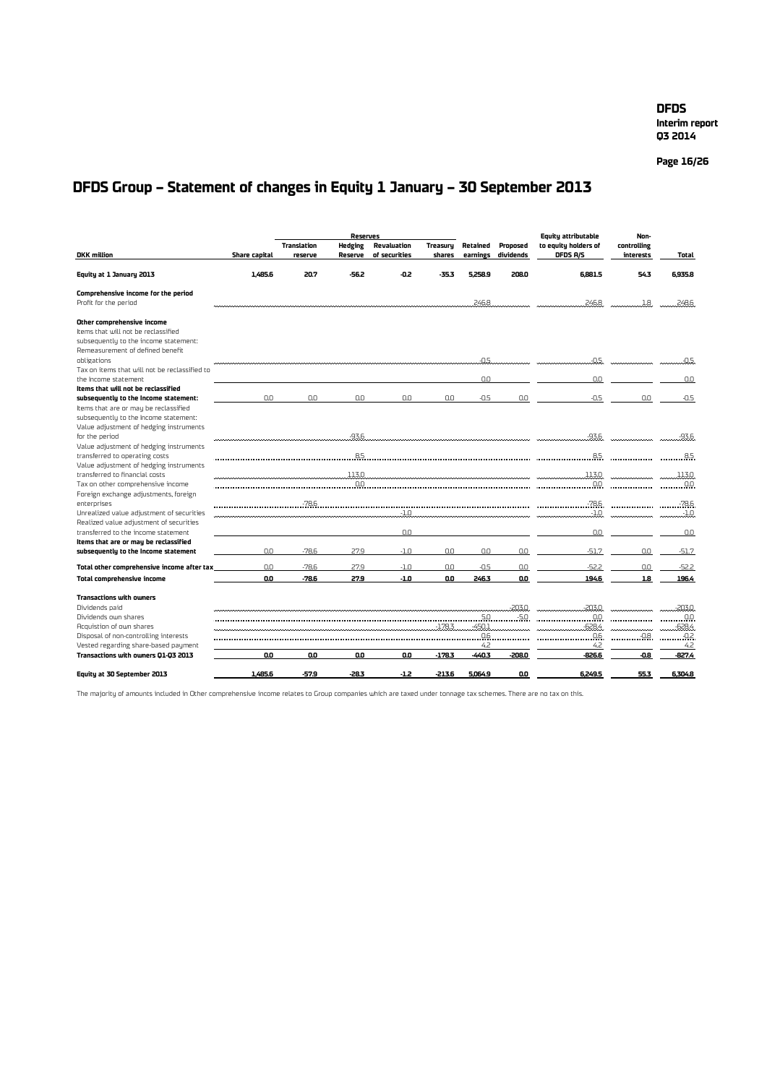**Page 16/26**

## **DFDS Group – Statement of changes in Equity 1 January – 30 September 2013**

|                                                                               |                      |                               | <b>Reserves</b>           |                              |                           |                      |                       | <b>Equity attributable</b>       | Non-                     |           |
|-------------------------------------------------------------------------------|----------------------|-------------------------------|---------------------------|------------------------------|---------------------------|----------------------|-----------------------|----------------------------------|--------------------------|-----------|
| <b>DKK</b> million                                                            | <b>Share capital</b> | <b>Translation</b><br>reserve | <b>Hedging</b><br>Reserve | Revaluation<br>of securities | <b>Treasuru</b><br>shares | Retained<br>earnings | Proposed<br>dividends | to equity holders of<br>DFDS A/S | controlling<br>interests | Total     |
|                                                                               |                      |                               |                           |                              |                           |                      |                       |                                  |                          |           |
| Equity at 1 January 2013                                                      | 1,485.6              | 20.7                          | $-56.2$                   | -0.2                         | $-35.3$                   | 5.258.9              | 208.0                 | 6.881.5                          | 543                      | 6,935.8   |
| Comprehensive income for the period                                           |                      |                               |                           |                              |                           |                      |                       |                                  |                          |           |
| Profit for the period                                                         |                      |                               |                           |                              |                           | 246.8                |                       | 246.8                            | 1.8                      | 248.6     |
| Other comprehensive income                                                    |                      |                               |                           |                              |                           |                      |                       |                                  |                          |           |
| Items that will not be reclassified                                           |                      |                               |                           |                              |                           |                      |                       |                                  |                          |           |
| subsequently to the income statement:                                         |                      |                               |                           |                              |                           |                      |                       |                                  |                          |           |
| Remeasurement of defined benefit                                              |                      |                               |                           |                              |                           | $-0.5$               |                       | $-0.5$                           |                          |           |
| obligations<br>Tax on items that will not be reclassified to                  |                      |                               |                           |                              |                           |                      |                       |                                  |                          | $-0.5$    |
| the Income statement                                                          |                      |                               |                           |                              |                           | n.n                  |                       | 0.0                              |                          | 0.0       |
| Items that will not be reclassified                                           |                      |                               |                           |                              |                           |                      |                       |                                  |                          |           |
| subsequently to the income statement:                                         | 0.0                  | 0.0                           | 0.0                       | 0.0                          | 0.0                       | $-0.5$               | 0.0                   | $-0.5$                           | 0.0                      | $-0.5$    |
| Items that are or may be reclassified                                         |                      |                               |                           |                              |                           |                      |                       |                                  |                          |           |
| subsequently to the Income statement:                                         |                      |                               |                           |                              |                           |                      |                       |                                  |                          |           |
| Value adjustment of hedging instruments<br>for the period                     |                      |                               | $-93.6$                   |                              |                           |                      |                       | -93.6                            |                          | $-93.6$   |
| Value adjustment of hedging instruments                                       |                      |                               |                           |                              |                           |                      |                       |                                  |                          |           |
| transferred to operating costs                                                |                      |                               | 85.                       |                              |                           |                      |                       |                                  |                          | .85       |
| Value adjustment of hedging instruments                                       |                      |                               |                           |                              |                           |                      |                       |                                  |                          |           |
| transferred to financial costs                                                |                      |                               | 113.0                     |                              |                           |                      |                       | 113.0                            |                          | 113.0     |
| Tax on other comprehensive income                                             |                      |                               |                           | 0.0                          |                           |                      |                       |                                  |                          |           |
| Foreign exchange adjustments, foreign                                         |                      |                               |                           |                              |                           |                      |                       |                                  |                          |           |
| enterprises<br>Unrealized value adjustment of securities                      |                      |                               |                           | $-1.0$                       |                           |                      |                       | $-1.0$                           |                          |           |
| Realized value adjustment of securities                                       |                      |                               |                           |                              |                           |                      |                       |                                  |                          | -1.0      |
| transferred to the income statement                                           |                      |                               |                           | 0.0                          |                           |                      |                       | 0.0                              |                          | 0.0       |
| Items that are or may be reclassified                                         |                      |                               |                           |                              |                           |                      |                       |                                  |                          |           |
| subsequently to the income statement                                          | 0.0                  | $-78.6$                       | 27.9                      | $-1.0$                       | 0.0                       | 0.0                  | 0.0                   | $-51.7$                          | 0.0                      | $-51.7$   |
| Total other comprehensive income after tax                                    | 0.0                  | $-78.6$                       | 27.9                      | $-1.0$                       | 0.0                       | $-0.5$               | 0.0                   | $-52.2$                          | 0.0                      | $-52.2$   |
| Total comprehensive income                                                    | 0.0                  | -78.6                         | 27.9                      | $-1.0$                       | 0.0                       | 246.3                | 0.0                   | 194.6                            | 1.8                      | 196.4     |
| <b>Transactions with owners</b>                                               |                      |                               |                           |                              |                           |                      |                       |                                  |                          |           |
| Dividends paid                                                                |                      |                               |                           |                              |                           |                      | $-203.0$              | $-203.0$                         |                          | $-203.0$  |
| Dividends own shares                                                          |                      |                               |                           |                              |                           |                      |                       |                                  |                          |           |
| Acquistion of own shares                                                      |                      |                               |                           |                              | $-178.3$                  | $-450.1$             |                       | $-628.4$                         |                          | $-628.4$  |
| Disposal of non-controlling interests<br>Vested regarding share-based payment |                      |                               |                           |                              |                           | 0.6<br>4.2           |                       | .05<br>4.2                       | .08.                     | 02<br>4.2 |
| Transactions with owners Q1-Q3 2013                                           | 0.0                  | 0.0                           | 0.O                       | 0.0                          | $-178.3$                  | $-440.3$             | $-208.0$              | -826.6                           | $-0.8$                   | -827.4    |
|                                                                               |                      |                               |                           |                              |                           |                      |                       |                                  |                          |           |
| Equity at 30 September 2013                                                   | 1.485.6              | -57.9                         | -28.3                     | $-1.2$                       | $-213.6$                  | 5.064.9              | O.O                   | 6.249.5                          | 55.3                     | 6.304.8   |

The majority of amounts included in Other comprehensive income relates to Group companies which are taxed under tonnage tax schemes. There are no tax on this.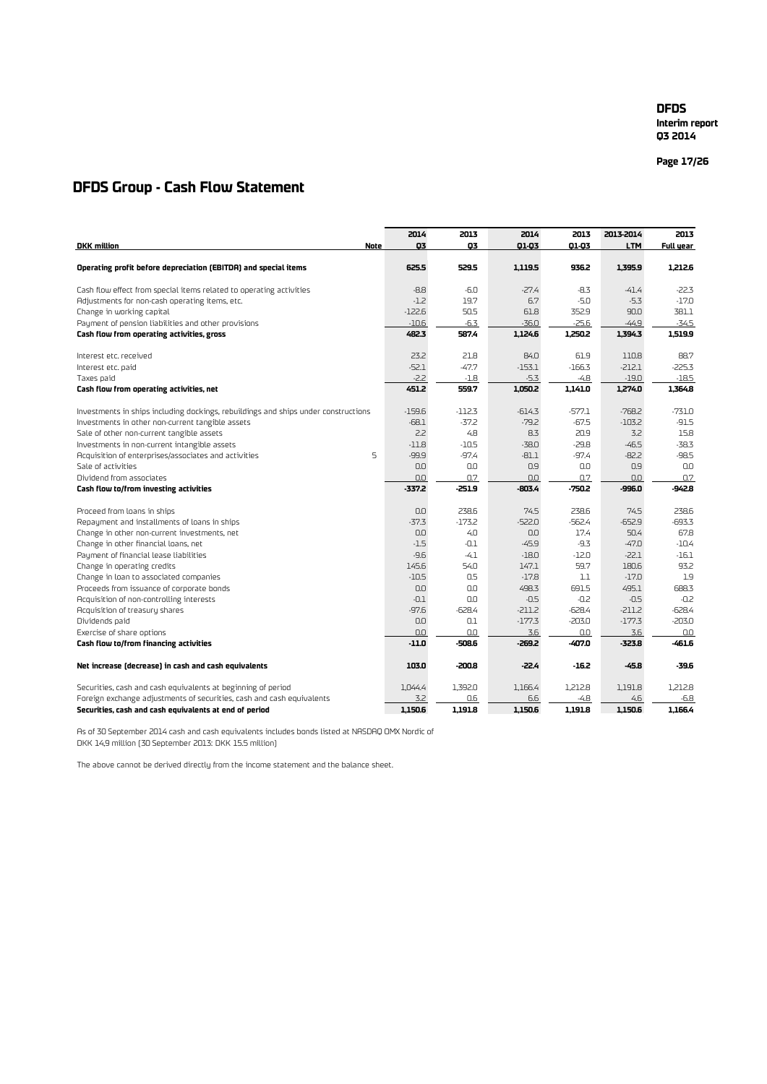**Interim report Q3 2014**

**Page 17 /26**

### **DFDS Group - Cash Flow Statement**

|                                                                                    | 2014     | 2013     | 2014     | 2013     | 2013-2014  | 2013             |
|------------------------------------------------------------------------------------|----------|----------|----------|----------|------------|------------------|
| <b>DKK</b> million<br><b>Note</b>                                                  | 03       | 03       | 01-03    | 01-03    | <b>LTM</b> | <b>Full year</b> |
|                                                                                    |          |          |          |          |            |                  |
| Operating profit before depreciation (EBITDA) and special items                    | 625.5    | 529.5    | 1,119.5  | 936.2    | 1,395.9    | 1,212.6          |
| Cash flow effect from special items related to operating activities                | $-8.8$   | $-6.0$   | $-27.4$  | $-8.3$   | $-41.4$    | $-22.3$          |
| Adjustments for non-cash operating items, etc.                                     | $-1.2$   | 19.7     | 6.7      | $-5.0$   | $-5.3$     | $-17.0$          |
| Change in working capital                                                          | $-122.6$ | 50.5     | 61.8     | 352.9    | 90.0       | 381.1            |
| Payment of pension liabilities and other provisions                                | $-10.6$  | $-6.3$   | $-36.0$  | $-25.6$  | $-44.9$    | $-34.5$          |
| Cash flow from operating activities, gross                                         | 482.3    | 587.4    | 1,124.6  | 1,250.2  | 1,394.3    | 1,519.9          |
| Interest etc. received                                                             | 23.2     | 21.8     | 84.0     | 61.9     | 110.8      | 88.7             |
| Interest etc. paid                                                                 | $-52.1$  | $-47.7$  | $-153.1$ | $-166.3$ | $-212.1$   | $-225.3$         |
| Taxes paid                                                                         | $-2.2$   | $-1.8$   | $-5.3$   | -4.8     | $-19.0$    | $-18.5$          |
| Cash flow from operating activities, net                                           | 451.2    | 559.7    | 1,050.2  | 1,141.0  | 1,274.0    | 1,364.8          |
| Investments in ships including dockings, rebuildings and ships under constructions | $-159.6$ | $-112.3$ | $-614.3$ | $-577.1$ | $-768.2$   | $-731.0$         |
| Investments in other non-current tangible assets                                   | $-68.1$  | $-37.2$  | $-79.2$  | $-67.5$  | $-103.2$   | $-91.5$          |
| Sale of other non-current tangible assets                                          | 2.2      | 4.8      | 8.3      | 20.9     | 3.2        | 15.8             |
| Investments in non-current intangible assets                                       | $-11.8$  | $-10.5$  | $-38.0$  | $-29.8$  | $-46.5$    | $-38.3$          |
| 5<br>Acquisition of enterprises/associates and activities                          | -99.9    | $-97.4$  | $-81.1$  | $-97.4$  | $-82.2$    | $-98.5$          |
| Sale of activities                                                                 | 0.0      | 0.0      | 0.9      | 0.0      | 0.9        | 0.0              |
| Dividend from associates                                                           | 0.0      | 0.7      | 0.0      | 0.7      | 0.0        | 0.7              |
| Cash flow to/from investing activities                                             | $-337.2$ | $-251.9$ | -803.4   | -750.2   | -996.0     | -942.8           |
| Proceed from loans in ships                                                        | 0.0      | 238.6    | 74.5     | 238.6    | 74.5       | 238.6            |
| Repayment and installments of loans in ships                                       | $-37.3$  | $-173.2$ | $-522.0$ | $-562.4$ | $-652.9$   | $-693.3$         |
| Change in other non-current investments, net                                       | 0.0      | 4.0      | 0.0      | 17.4     | 50.4       | 67.8             |
| Change in other financial loans, net                                               | $-1.5$   | $-0.1$   | $-45.9$  | $-9.3$   | $-47.0$    | $-10.4$          |
| Payment of financial lease liabilities                                             | $-9.6$   | $-4.1$   | $-18.0$  | $-12.0$  | $-22.1$    | $-16.1$          |
| Change in operating credits                                                        | 145.6    | 54.0     | 147.1    | 59.7     | 180.6      | 93.2             |
| Change in loan to associated companies                                             | $-10.5$  | 0.5      | $-17.8$  | 1.1      | $-17.0$    | 1.9              |
| Proceeds from issuance of corporate bonds                                          | 0.0      | 0.0      | 498.3    | 691.5    | 495.1      | 688.3            |
| Acquisition of non-controlling interests                                           | $-0.1$   | 0.0      | $-0.5$   | $-0.2$   | $-0.5$     | $-0.2$           |
| Acquisition of treasury shares                                                     | $-97.6$  | $-628.4$ | $-211.2$ | $-628.4$ | $-211.2$   | $-628.4$         |
| Dividends paid                                                                     | 0.0      | 0.1      | $-177.3$ | $-203.0$ | $-177.3$   | $-203.0$         |
| Exercise of share options                                                          | 0.0      | 0.0      | 3.6      | 0.0      | 3.6        | 0.0              |
| Cash flow to/from financing activities                                             | $-11.0$  | -508.6   | -269.2   | -407.0   | -323.8     | $-461.6$         |
| Net increase (decrease) in cash and cash equivalents                               | 103.0    | -200.8   | $-22.4$  | $-16.2$  | $-45.8$    | $-39.6$          |
| Securities, cash and cash equivalents at beginning of period                       | 1.044.4  | 1.392.0  | 1.166.4  | 1,212.8  | 1.191.8    | 1,212.8          |
| Foreign exchange adjustments of securities, cash and cash equivalents              | 3.2      | 0.6      | 6.6      | $-4.8$   | 4.6        | $-6.8$           |
| Securities, cash and cash equivalents at end of period                             | 1.150.6  | 1.191.8  | 1,150.6  | 1.191.8  | 1.150.6    | 1.166.4          |

As of 30 September 2014 cash and cash equivalents includes bonds listed at NASDAQ OMX Nordic of DKK 14,9 million (30 September 2013: DKK 15.5 million)

The above cannot be derived directly from the income statement and the balance sheet.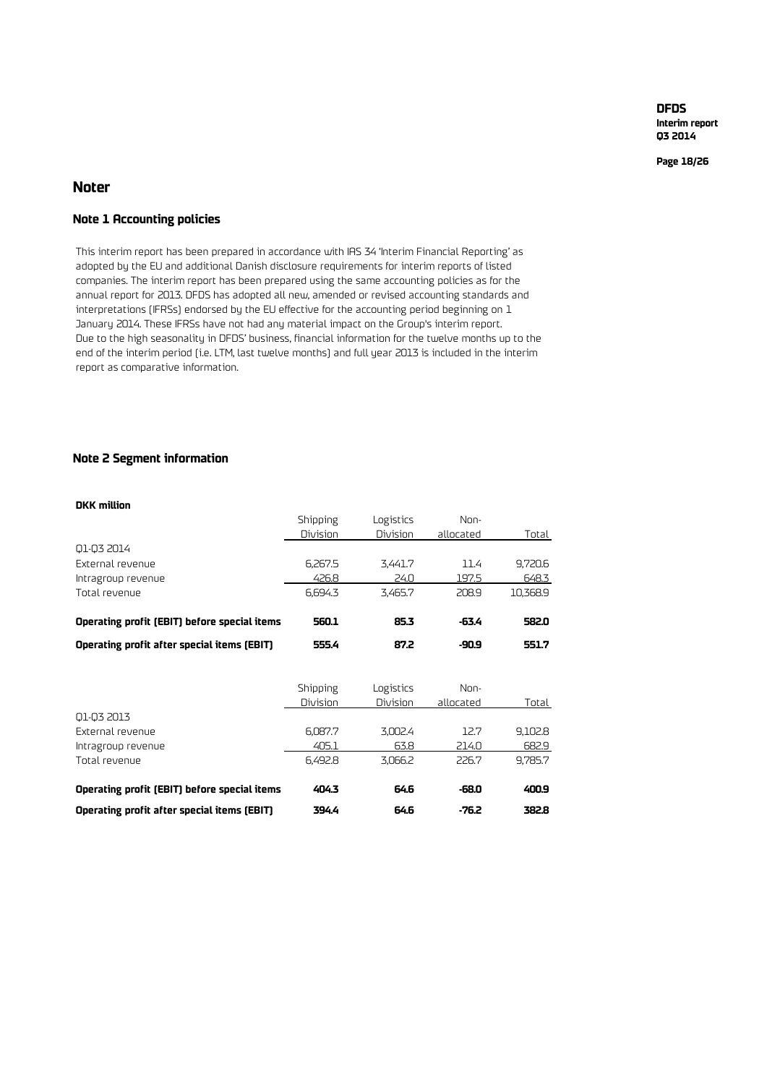**Interim report Q3 2014**

**Page 18/26**

### **Noter**

### **Note 1 Accounting policies**

This interim report has been prepared in accordance with IAS 34 'Interim Financial Reporting' as adopted by the EU and additional Danish disclosure requirements for interim reports of listed companies. The interim report has been prepared using the same accounting policies as for the annual report for 2013. DFDS has adopted all new, amended or revised accounting standards and interpretations (IFRSs) endorsed by the EU effective for the accounting period beginning on 1 January 2014. These IFRSs have not had any material impact on the Group's interim report. Due to the high seasonality in DFDS' business, financial information for the twelve months up to the end of the interim period (i.e. LTM, last twelve months) and full year 2013 is included in the interim report as comparative information.

### **Note 2 Segment information**

#### **DKK million**

|                                              | Shipping | Logistics | Non-      |          |
|----------------------------------------------|----------|-----------|-----------|----------|
|                                              | Division | Division  | allocated | Total    |
| Q1-Q3 2014                                   |          |           |           |          |
| External revenue                             | 6,267.5  | 3,441.7   | 11.4      | 9,720.6  |
| Intragroup revenue                           | 426.8    | 24.0      | 197.5     | 648.3    |
| Total revenue                                | 6,694.3  | 3,465.7   | 208.9     | 10,368.9 |
| Operating profit (EBIT) before special items | 560.1    | 85.3      | -63.4     | 582.0    |
| Operating profit after special items (EBIT)  | 555.4    | 87.2      | -90.9     | 551.7    |
|                                              | Shipping | Logistics | Non-      |          |
|                                              | Division | Division  | allocated | Total    |
| Q1-Q3 2013                                   |          |           |           |          |
| External revenue                             | 6,087.7  | 3,002.4   | 12.7      | 9,102.8  |
| Intragroup revenue                           | 405.1    | 63.8      | 214.0     | 682.9    |
| Total revenue                                | 6.492.8  | 3,066.2   | 226.7     | 9,785.7  |
| Operating profit (EBIT) before special items | 404.3    | 64.6      | -68.0     | 400.9    |
| Operating profit after special items (EBIT)  | 394.4    | 64.6      | $-76.2$   | 382.8    |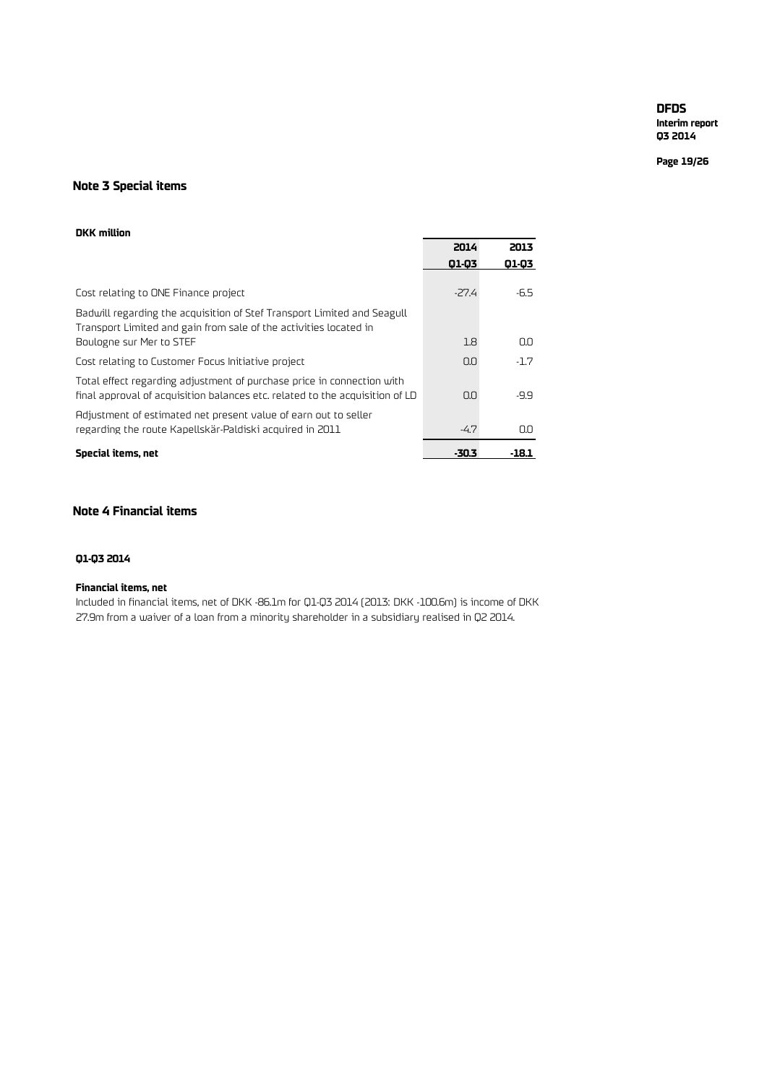**Interim report Q3 2014**

**Page 19/26**

### **Note 3 Special items**

### **DKK million**

|                                                                                                                                                        | 2014   | 2013   |
|--------------------------------------------------------------------------------------------------------------------------------------------------------|--------|--------|
|                                                                                                                                                        | 01-03  | 01-03  |
|                                                                                                                                                        |        |        |
| Cost relating to ONE Finance project                                                                                                                   | $-274$ | -6.5   |
| Badwill regarding the acquisition of Stef Transport Limited and Seagull<br>Transport Limited and gain from sale of the activities located in           |        |        |
| Boulogne sur Mer to STEF                                                                                                                               | 1.8    | O.O    |
| Cost relating to Customer Focus Initiative project                                                                                                     | 0.0    | $-1.7$ |
| Total effect regarding adjustment of purchase price in connection with<br>final approval of acquisition balances etc. related to the acquisition of LD | 0.0    | -9.9   |
| Adjustment of estimated net present value of earn out to seller<br>regarding the route Kapellskär-Paldiski acquired in 2011                            | $-4.7$ | O.O    |
| Special items, net                                                                                                                                     | -30.3  | -18.1  |

### **Note 4 Financial items**

### **Q1-Q3 2014**

### **Financial items, net**

Included in financial items, net of DKK -86.1m for Q1-Q3 2014 (2013: DKK -100.6m) is income of DKK 27.9m from a waiver of a loan from a minority shareholder in a subsidiary realised in Q2 2014.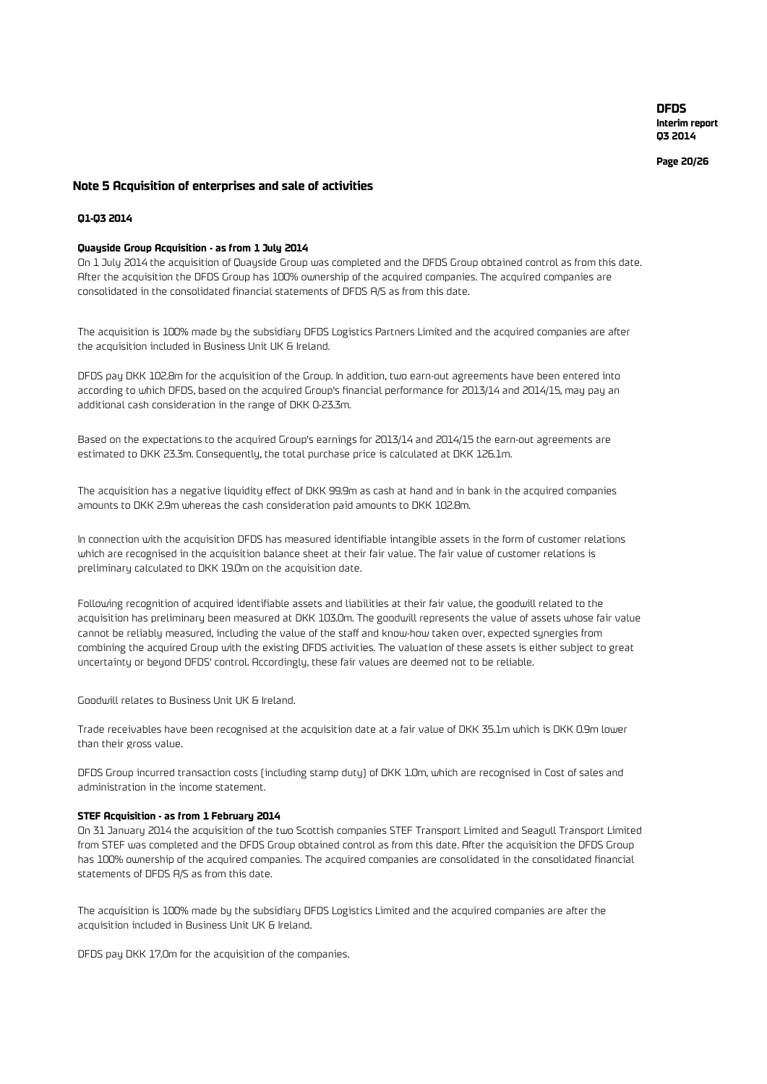**Page 20 /26**

#### **Note 5 Acquisition of enterprises and sale of activities**

### **Q1-Q3 2014**

#### **Quayside Group Acquisition - as from 1 July 2014**

On 1 July 2014 the acquisition of Quayside Group was completed and the DFDS Group obtained control as from this date. After the acquisition the DFDS Group has 100% ownership of the acquired companies. The acquired companies are consolidated in the consolidated financial statements of DFDS A/S as from this date.

The acquisition is 100% made by the subsidiary DFDS Logistics Partners Limited and the acquired companies are after the acquisition included in Business Unit UK & Ireland.

DFDS pay DKK 102.8m for the acquisition of the Group. In addition, two earn-out agreements have been entered into according to which DFDS, based on the acquired Group's financial performance for 2013/14 and 2014/15, may pay an additional cash consideration in the range of DKK 0-23.3m.

Based on the expectations to the acquired Group's earnings for 2013/14 and 2014/15 the earn-out agreements are estimated to DKK 23.3m. Consequently, the total purchase price is calculated at DKK 126.1m.

The acquisition has a negative liquidity effect of DKK 99.9m as cash at hand and in bank in the acquired companies amounts to DKK 2.9m whereas the cash consideration paid amounts to DKK 102.8m.

In connection with the acquisition DFDS has measured identifiable intangible assets in the form of customer relations which are recognised in the acquisition balance sheet at their fair value. The fair value of customer relations is preliminary calculated to DKK 19.0m on the acquisition date.

Following recognition of acquired identifiable assets and liabilities at their fair value, the goodwill related to the acquisition has preliminary been measured at DKK 103.0m. The goodwill represents the value of assets whose fair value cannot be reliably measured, including the value of the staff and know-how taken over, expected synergies from combining the acquired Group with the existing DFDS activities. The valuation of these assets is either subject to great uncertainty or beyond DFDS' control. Accordingly, these fair values are deemed not to be reliable.

Goodwill relates to Business Unit UK & Ireland.

Trade receivables have been recognised at the acquisition date at a fair value of DKK 35.1m which is DKK 0.9m lower than their gross value.

DFDS Group incurred transaction costs (including stamp duty) of DKK 1.0m, which are recognised in Cost of sales and administration in the income statement.

#### **STEF Acquisition - as from 1 February 2014**

On 31 January 2014 the acquisition of the two Scottish companies STEF Transport Limited and Seagull Transport Limited from STEF was completed and the DFDS Group obtained control as from this date. After the acquisition the DFDS Group has 100% ownership of the acquired companies. The acquired companies are consolidated in the consolidated financial statements of DFDS A/S as from this date.

The acquisition is 100% made by the subsidiary DFDS Logistics Limited and the acquired companies are after the acquisition included in Business Unit UK & Ireland.

DFDS pay DKK 17.0m for the acquisition of the companies.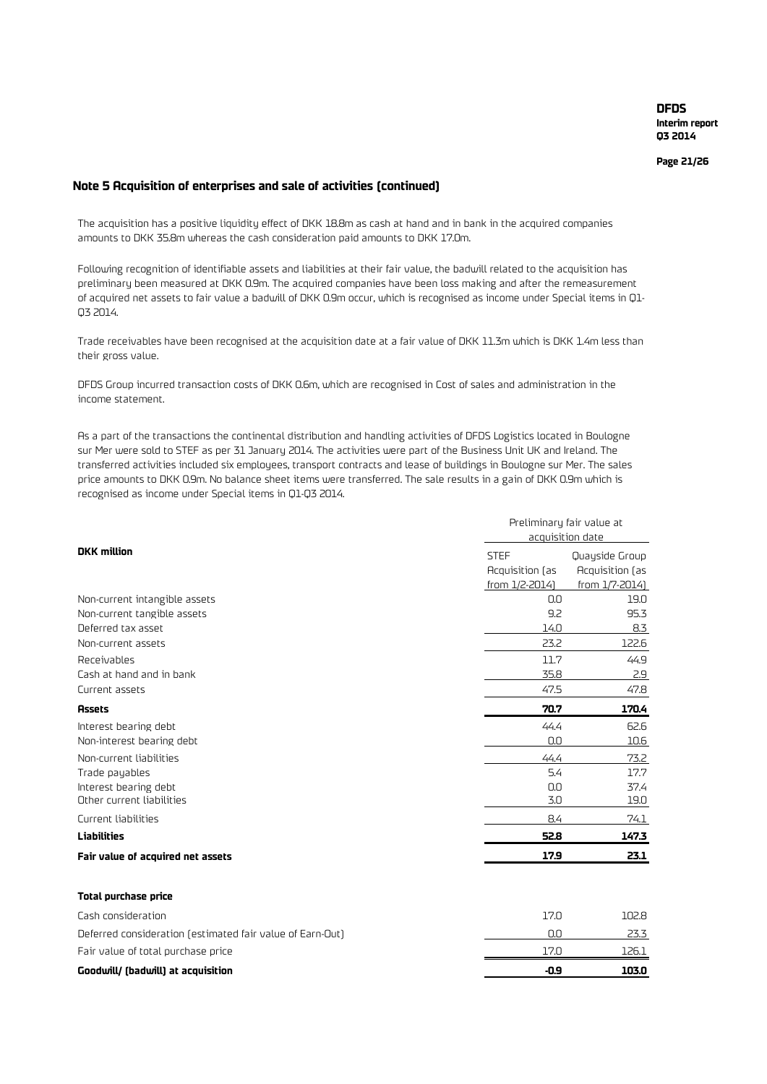**Page 21/26**

### **Note 5 Acquisition of enterprises and sale of activities (continued)**

The acquisition has a positive liquidity effect of DKK 18.8m as cash at hand and in bank in the acquired companies amounts to DKK 35.8m whereas the cash consideration paid amounts to DKK 17.0m.

Following recognition of identifiable assets and liabilities at their fair value, the badwill related to the acquisition has preliminary been measured at DKK 0.9m. The acquired companies have been loss making and after the remeasurement of acquired net assets to fair value a badwill of DKK 0.9m occur, which is recognised as income under Special items in Q1- Q3 2014.

Trade receivables have been recognised at the acquisition date at a fair value of DKK 11.3m which is DKK 1.4m less than their gross value.

DFDS Group incurred transaction costs of DKK 0.6m, which are recognised in Cost of sales and administration in the income statement.

As a part of the transactions the continental distribution and handling activities of DFDS Logistics located in Boulogne sur Mer were sold to STEF as per 31 January 2014. The activities were part of the Business Unit UK and Ireland. The transferred activities included six employees, transport contracts and lease of buildings in Boulogne sur Mer. The sales price amounts to DKK 0.9m. No balance sheet items were transferred. The sale results in a gain of DKK 0.9m which is recognised as income under Special items in Q1-Q3 2014.

|                                                           | Preliminary fair value at<br>acquisition date |                 |  |  |  |
|-----------------------------------------------------------|-----------------------------------------------|-----------------|--|--|--|
| <b>DKK</b> million                                        | <b>STEF</b>                                   | Quayside Group  |  |  |  |
|                                                           | Acquisition (as                               | Acquisition (as |  |  |  |
|                                                           | from 1/2-2014)                                | from 1/7-2014)  |  |  |  |
| Non-current intangible assets                             | 0.0                                           | 19.0            |  |  |  |
| Non-current tangible assets                               | 9.2                                           | 95.3            |  |  |  |
| Deferred tax asset                                        | 14.0                                          | 8.3             |  |  |  |
| Non-current assets                                        | 23.2                                          | 122.6           |  |  |  |
| Receivables                                               | 11.7                                          | 44.9            |  |  |  |
| Cash at hand and in bank                                  | 35.8                                          | 2.9             |  |  |  |
| Current assets                                            | 47.5                                          | 47.8            |  |  |  |
| <b>Assets</b>                                             | 70.7                                          | 170.4           |  |  |  |
| Interest bearing debt                                     | 44.4                                          | 62.6            |  |  |  |
| Non-interest bearing debt                                 | 0.0                                           | 10.6            |  |  |  |
| Non-current liabilities                                   | 44.4                                          | 73.2            |  |  |  |
| Trade payables                                            | 5.4                                           | 17.7            |  |  |  |
| Interest bearing debt                                     | 0.0                                           | 37.4            |  |  |  |
| Other current liabilities                                 | 3.0                                           | 19.0            |  |  |  |
| Current liabilities                                       | 8.4                                           | 74.1            |  |  |  |
| <b>Liabilities</b>                                        | 52.8                                          | 147.3           |  |  |  |
| Fair value of acquired net assets                         | 17.9                                          | 23.1            |  |  |  |
| <b>Total purchase price</b>                               |                                               |                 |  |  |  |
| Cash consideration                                        | 17.0                                          | 102.8           |  |  |  |
| Deferred consideration (estimated fair value of Earn-Out) | 0.0                                           | 23.3            |  |  |  |
| Fair value of total purchase price                        | 17.0                                          | 126.1           |  |  |  |
| Goodwill/ (badwill) at acquisition                        | $-0.9$                                        | 103.0           |  |  |  |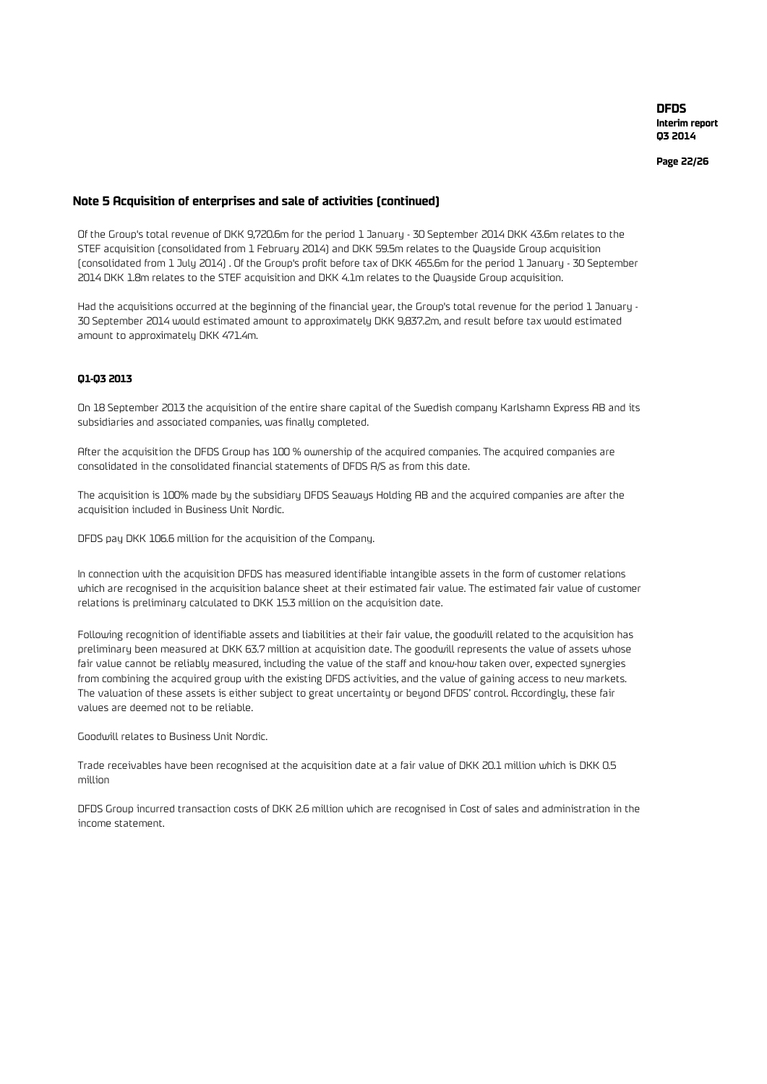**Page 22/26**

### **Note 5 Acquisition of enterprises and sale of activities (continued)**

Of the Group's total revenue of DKK 9,720.6m for the period 1 January - 30 September 2014 DKK 43.6m relates to the STEF acquisition (consolidated from 1 February 2014) and DKK 59.5m relates to the Quayside Group acquisition (consolidated from 1 July 2014) . Of the Group's profit before tax of DKK 465.6m for the period 1 January - 30 September 2014 DKK 1.8m relates to the STEF acquisition and DKK 4.1m relates to the Quayside Group acquisition.

Had the acquisitions occurred at the beginning of the financial year, the Group's total revenue for the period 1 January - 30 September 2014 would estimated amount to approximately DKK 9,837.2m, and result before tax would estimated amount to approximately DKK 471.4m.

#### **Q1-Q3 2013**

On 18 September 2013 the acquisition of the entire share capital of the Swedish company Karlshamn Express AB and its subsidiaries and associated companies, was finally completed.

After the acquisition the DFDS Group has 100 % ownership of the acquired companies. The acquired companies are consolidated in the consolidated financial statements of DFDS A/S as from this date.

The acquisition is 100% made by the subsidiary DFDS Seaways Holding AB and the acquired companies are after the acquisition included in Business Unit Nordic.

DFDS pay DKK 106.6 million for the acquisition of the Company.

In connection with the acquisition DFDS has measured identifiable intangible assets in the form of customer relations which are recognised in the acquisition balance sheet at their estimated fair value. The estimated fair value of customer relations is preliminary calculated to DKK 15.3 million on the acquisition date.

Following recognition of identifiable assets and liabilities at their fair value, the goodwill related to the acquisition has preliminary been measured at DKK 63.7 million at acquisition date. The goodwill represents the value of assets whose fair value cannot be reliably measured, including the value of the staff and know-how taken over, expected synergies from combining the acquired group with the existing DFDS activities, and the value of gaining access to new markets. The valuation of these assets is either subject to great uncertainty or beyond DFDS' control. Accordingly, these fair values are deemed not to be reliable.

Goodwill relates to Business Unit Nordic.

Trade receivables have been recognised at the acquisition date at a fair value of DKK 20.1 million which is DKK 0.5 million

DFDS Group incurred transaction costs of DKK 2.6 million which are recognised in Cost of sales and administration in the income statement.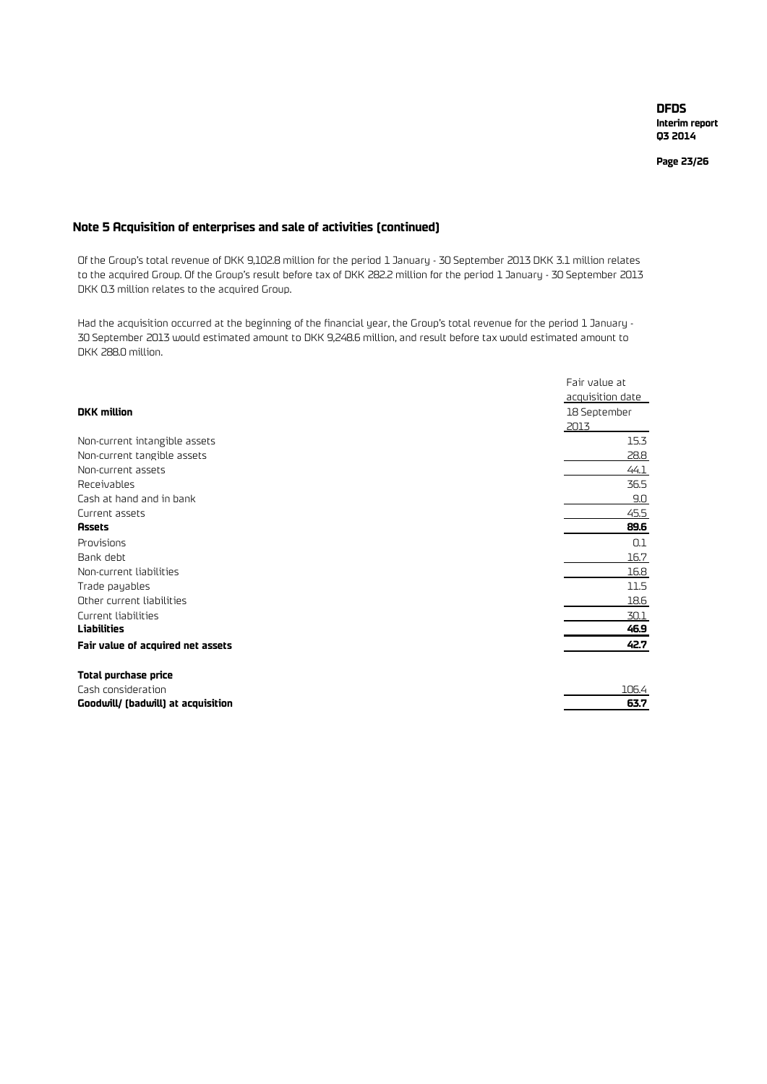**Page 23/26**

### **Note 5 Acquisition of enterprises and sale of activities (continued)**

Of the Group's total revenue of DKK 9,102.8 million for the period 1 January - 30 September 2013 DKK 3.1 million relates to the acquired Group. Of the Group's result before tax of DKK 282.2 million for the period 1 January - 30 September 2013 DKK 0.3 million relates to the acquired Group.

Had the acquisition occurred at the beginning of the financial year, the Group's total revenue for the period 1 January - 30 September 2013 would estimated amount to DKK 9,248.6 million, and result before tax would estimated amount to DKK 288.0 million.

|                                    | Fair value at    |
|------------------------------------|------------------|
|                                    | acquisition date |
| <b>DKK</b> million                 | 18 September     |
|                                    | 2013             |
| Non-current intangible assets      | 15.3             |
| Non-current tangible assets        | 28.8             |
| Non-current assets                 | 44.1             |
| Receivables                        | 36.5             |
| Cash at hand and in bank           | 9.0              |
| Current assets                     | 45.5             |
| <b>Assets</b>                      | 89.6             |
| Provisions                         | 0.1              |
| Bank debt                          | 16.7             |
| Non-current liabilities            | 16.8             |
| Trade payables                     | 11.5             |
| Other current liabilities          | 18.6             |
| Current liabilities                | 30.1             |
| <b>Liabilities</b>                 | 46.9             |
| Fair value of acquired net assets  | 42.7             |
| Total purchase price               |                  |
| Cash consideration                 | 106.4            |
| Goodwill/ (badwill) at acquisition | 63.7             |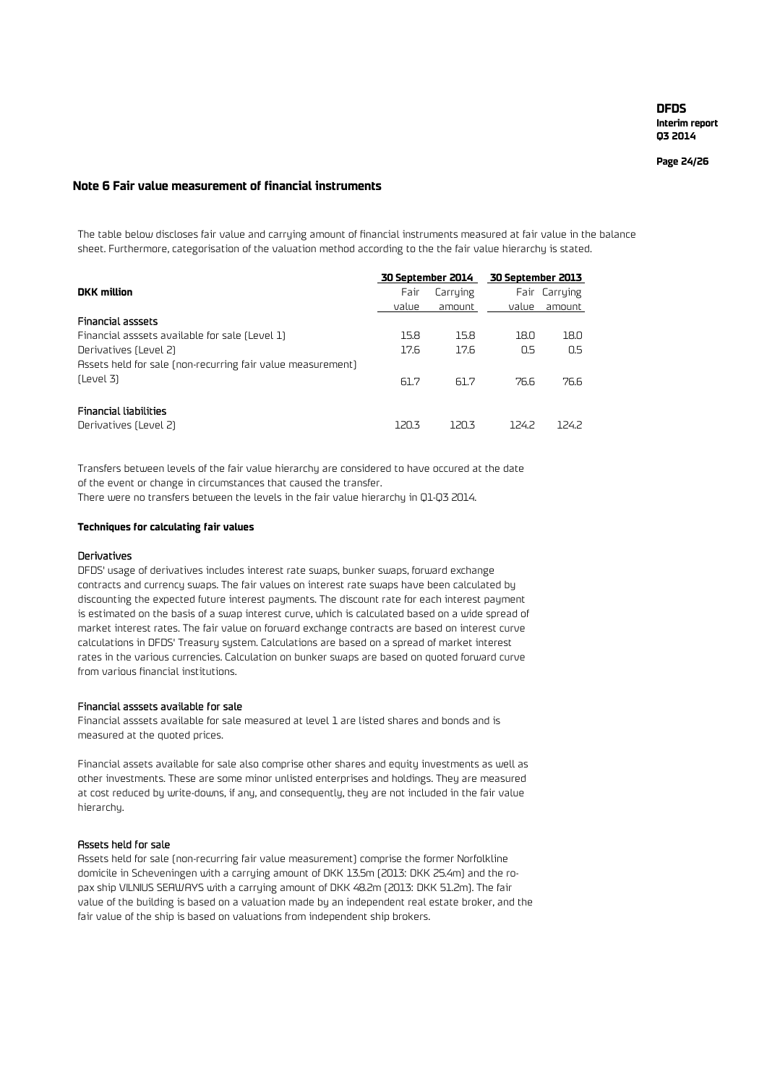**Page 24/26**

#### **Note 6 Fair value measurement of financial instruments**

The table below discloses fair value and carrying amount of financial instruments measured at fair value in the balance sheet. Furthermore, categorisation of the valuation method according to the the fair value hierarchy is stated.

|                                                             | 30 September 2014 |          | 30 September 2013 |               |  |
|-------------------------------------------------------------|-------------------|----------|-------------------|---------------|--|
| <b>DKK</b> million                                          | Fair              | Carrying |                   | Fair Carrying |  |
|                                                             | value             | amount   | value             | amount        |  |
| <b>Financial asssets</b>                                    |                   |          |                   |               |  |
| Financial asssets available for sale (Level 1)              | 15.8              | 15.8     | 18.0              | 18.0          |  |
| Derivatives (Level 2)                                       | 17.6              | 17.6     | 0.5               | 0.5           |  |
| Assets held for sale (non-recurring fair value measurement) |                   |          |                   |               |  |
| (Level 3)                                                   | 61.7              | 61.7     | 76.6              | 76.6          |  |
| <b>Financial liabilities</b><br>Derivatives (Level 2)       | 120.3             | 120.3    | 1242              | 1242          |  |

There were no transfers between the levels in the fair value hierarchy in Q1-Q3 2014. Transfers between levels of the fair value hierarchy are considered to have occured at the date of the event or change in circumstances that caused the transfer.

#### **Techniques for calculating fair values**

#### Derivatives

DFDS' usage of derivatives includes interest rate swaps, bunker swaps, forward exchange contracts and currency swaps. The fair values on interest rate swaps have been calculated by discounting the expected future interest payments. The discount rate for each interest payment is estimated on the basis of a swap interest curve, which is calculated based on a wide spread of market interest rates. The fair value on forward exchange contracts are based on interest curve calculations in DFDS' Treasury system. Calculations are based on a spread of market interest rates in the various currencies. Calculation on bunker swaps are based on quoted forward curve from various financial institutions.

### Financial asssets available for sale

Financial asssets available for sale measured at level 1 are listed shares and bonds and is measured at the quoted prices.

Financial assets available for sale also comprise other shares and equity investments as well as other investments. These are some minor unlisted enterprises and holdings. They are measured at cost reduced by write-downs, if any, and consequently, they are not included in the fair value hierarchy.

#### Assets held for sale

Assets held for sale (non-recurring fair value measurement) comprise the former Norfolkline domicile in Scheveningen with a carrying amount of DKK 13.5m (2013: DKK 25.4m) and the ropax ship VILNIUS SEAWAYS with a carrying amount of DKK 48.2m (2013: DKK 51.2m). The fair value of the building is based on a valuation made by an independent real estate broker, and the fair value of the ship is based on valuations from independent ship brokers.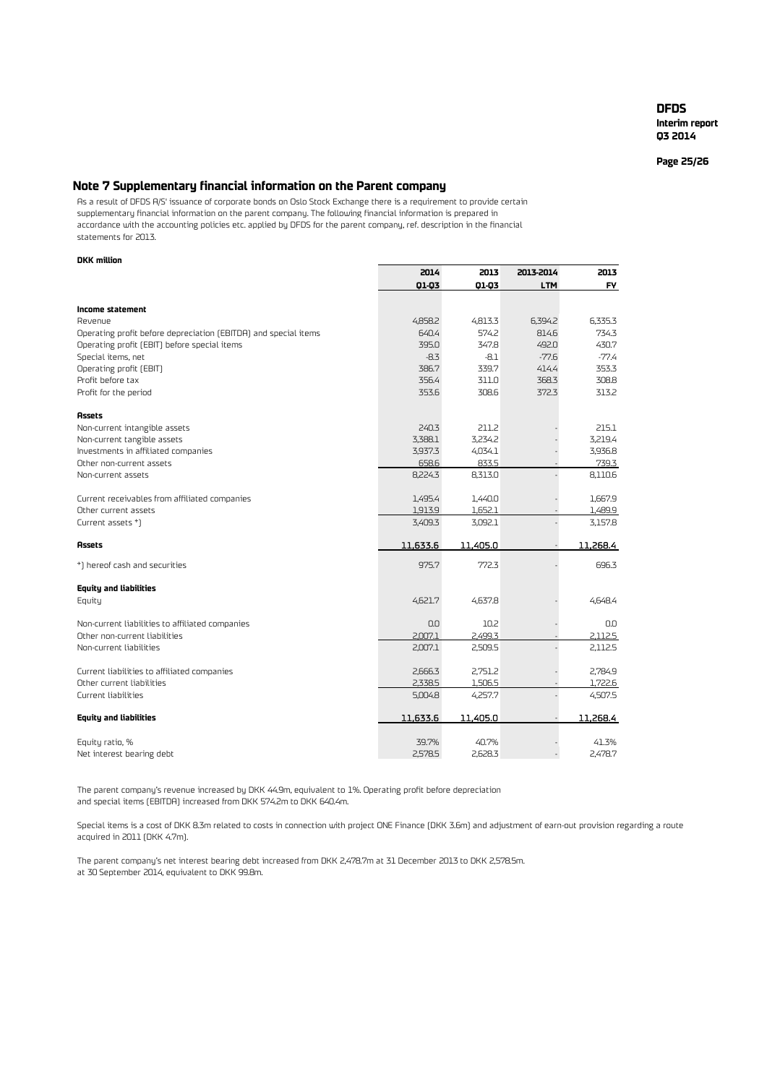**Interim report Q3 2014**

**Page 25/26**

### **Note 7 Supplementary financial information on the Parent company**

As a result of DFDS A/S' issuance of corporate bonds on Oslo Stock Exchange there is a requirement to provide certain supplementary financial information on the parent company. The following financial information is prepared in accordance with the accounting policies etc. applied by DFDS for the parent company, ref. description in the financial statements for 2013.

#### **DKK million**

|                                                                 | 2014     | 2013     | 2013-2014  | 2013      |
|-----------------------------------------------------------------|----------|----------|------------|-----------|
|                                                                 | 01-03    | 01-03    | <b>LTM</b> | <b>FY</b> |
|                                                                 |          |          |            |           |
| Income statement<br>Revenue                                     | 4,858.2  | 4,813.3  | 6,394.2    | 6,335.3   |
| Operating profit before depreciation (EBITDA) and special items | 640.4    | 574.2    | 814.6      | 734.3     |
| Operating profit (EBIT) before special items                    | 395.0    | 347.8    | 492.0      | 430.7     |
| Special items, net                                              | $-8.3$   | $-8.1$   | $-77.6$    | $-77.4$   |
| Operating profit (EBIT)                                         | 386.7    | 339.7    | 414.4      | 353.3     |
| Profit before tax                                               | 356.4    | 311.0    | 368.3      | 308.8     |
| Profit for the period                                           | 353.6    | 308.6    | 372.3      | 313.2     |
| <b>Assets</b>                                                   |          |          |            |           |
| Non-current intangible assets                                   | 240.3    | 211.2    |            | 215.1     |
| Non-current tangible assets                                     | 3,388.1  | 3,234.2  |            | 3,219.4   |
| Investments in affiliated companies                             | 3,937.3  | 4,034.1  |            | 3,936.8   |
| Other non-current assets                                        | 658.6    | 833.5    |            | 739.3     |
| Non-current assets                                              | 8,224.3  | 8,313.0  |            | 8,110.6   |
| Current receivables from affiliated companies                   | 1,495.4  | 1,440.0  |            | 1,667.9   |
| Other current assets                                            | 1,913.9  | 1,652.1  |            | 1,489.9   |
| Current assets *)                                               | 3,409.3  | 3,092.1  |            | 3,157.8   |
| <b>Assets</b>                                                   | 11.633.6 | 11,405.0 |            | 11,268.4  |
| *) hereof cash and securities                                   | 975.7    | 772.3    |            | 696.3     |
| <b>Equity and liabilities</b>                                   |          |          |            |           |
| Equity                                                          | 4,621.7  | 4,637.8  |            | 4,648.4   |
| Non-current liabilities to affiliated companies                 | 0.0      | 10.2     |            | 0.0       |
| Other non-current liabilities                                   | 2,007.1  | 2,499.3  |            | 2,112.5   |
| Non-current liabilities                                         | 2,007.1  | 2,509.5  |            | 2,112.5   |
| Current liabilities to affiliated companies                     | 2,666.3  | 2,751.2  |            | 2.784.9   |
| Other current liabilities                                       | 2,338.5  | 1,506.5  |            | 1,722.6   |
| Current liabilities                                             | 5,004.8  | 4,257.7  |            | 4,507.5   |
| <b>Equity and liabilities</b>                                   | 11,633.6 | 11,405.0 |            | 11,268.4  |
| Equity ratio, %                                                 | 39.7%    | 40.7%    |            | 41.3%     |
| Net interest bearing debt                                       | 2.578.5  | 2.628.3  |            | 2,478.7   |

The parent company's revenue increased by DKK 44.9m, equivalent to 1%. Operating profit before depreciation and special items (EBITDA) increased from DKK 574.2m to DKK 640.4m.

Special items is a cost of DKK 8.3m related to costs in connection with project ONE Finance (DKK 3.6m) and adjustment of earn-out provision regarding a route acquired in 2011 (DKK 4.7m).

The parent company's net interest bearing debt increased from DKK 2,478.7m at 31 December 2013 to DKK 2,578.5m. at 30 September 2014, equivalent to DKK 99.8m.